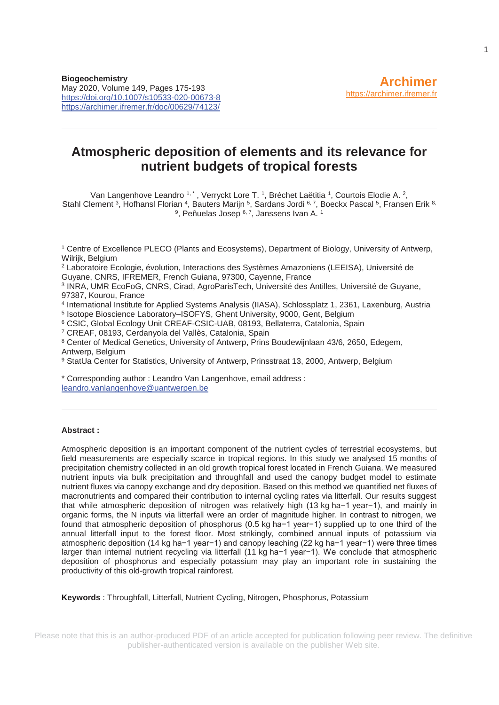# **Atmospheric deposition of elements and its relevance for nutrient budgets of tropical forests**

Van Langenhove Leandro 1, \*, Verryckt Lore T. 1, Bréchet Laëtitia 1, Courtois Elodie A, 2, Stahl Clement <sup>3</sup>, Hofhansl Florian <sup>4</sup>, Bauters Marijn <sup>5</sup>, Sardans Jordi 6, 7, Boeckx Pascal <sup>5</sup>, Fransen Erik <sup>8,</sup> <sup>9</sup>, Peñuelas Josep <sup>6, 7</sup>, Janssens Ivan A.<sup>1</sup>

1 Centre of Excellence PLECO (Plants and Ecosystems), Department of Biology, University of Antwerp, Wilrijk, Belgium

2 Laboratoire Ecologie, évolution, Interactions des Systèmes Amazoniens (LEEISA), Université de Guyane, CNRS, IFREMER, French Guiana, 97300, Cayenne, France

3 INRA, UMR EcoFoG, CNRS, Cirad, AgroParisTech, Université des Antilles, Université de Guyane, 97387, Kourou, France

4 International Institute for Applied Systems Analysis (IIASA), Schlossplatz 1, 2361, Laxenburg, Austria 5 Isotope Bioscience Laboratory–ISOFYS, Ghent University, 9000, Gent, Belgium

<sup>6</sup> CSIC, Global Ecology Unit CREAF-CSIC-UAB, 08193, Bellaterra, Catalonia, Spain 7 CREAF, 08193, Cerdanyola del Vallès, Catalonia, Spain

<sup>8</sup> Center of Medical Genetics, University of Antwerp, Prins Boudewijnlaan 43/6, 2650, Edegem, Antwerp, Belgium

9 StatUa Center for Statistics, University of Antwerp, Prinsstraat 13, 2000, Antwerp, Belgium

\* Corresponding author : Leandro Van Langenhove, email address : leandro.vanlangenhove@uantwerpen.be

#### **Abstract :**

Atmospheric deposition is an important component of the nutrient cycles of terrestrial ecosystems, but field measurements are especially scarce in tropical regions. In this study we analysed 15 months of precipitation chemistry collected in an old growth tropical forest located in French Guiana. We measured nutrient inputs via bulk precipitation and throughfall and used the canopy budget model to estimate nutrient fluxes via canopy exchange and dry deposition. Based on this method we quantified net fluxes of macronutrients and compared their contribution to internal cycling rates via litterfall. Our results suggest that while atmospheric deposition of nitrogen was relatively high (13 kg ha−1 year−1), and mainly in organic forms, the N inputs via litterfall were an order of magnitude higher. In contrast to nitrogen, we found that atmospheric deposition of phosphorus (0.5 kg ha−1 year−1) supplied up to one third of the annual litterfall input to the forest floor. Most strikingly, combined annual inputs of potassium via atmospheric deposition (14 kg ha−1 year−1) and canopy leaching (22 kg ha−1 year−1) were three times larger than internal nutrient recycling via litterfall (11 kg ha−1 year−1). We conclude that atmospheric deposition of phosphorus and especially potassium may play an important role in sustaining the productivity of this old-growth tropical rainforest.

**Keywords** : Throughfall, Litterfall, Nutrient Cycling, Nitrogen, Phosphorus, Potassium

Please note that this is an author-produced PDF of an article accepted for publication following peer review. The definitive publisher-authenticated version is available on the publisher Web site.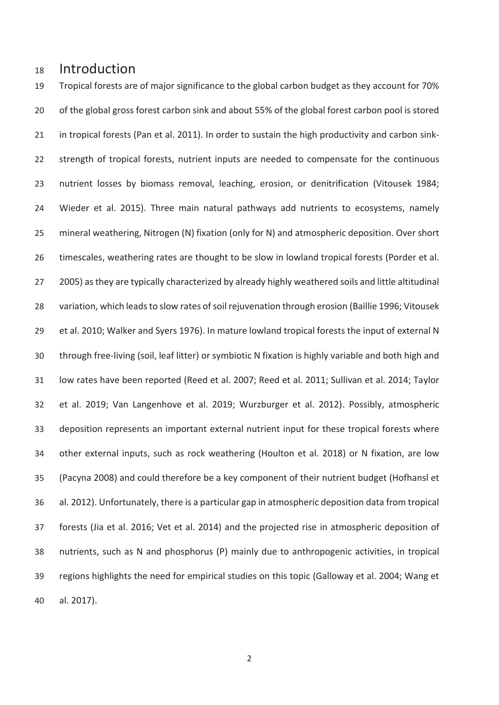# 18 Introduction

19 Tropical forests are of major significance to the global carbon budget as they account for 70% 20 of the global gross forest carbon sink and about 55% of the global forest carbon pool is stored 21 in tropical forests (Pan et al. 2011). In order to sustain the high productivity and carbon sink-22 strength of tropical forests, nutrient inputs are needed to compensate for the continuous 23 nutrient losses by biomass removal, leaching, erosion, or denitrification (Vitousek 1984; 24 Wieder et al. 2015). Three main natural pathways add nutrients to ecosystems, namely 25 mineral weathering, Nitrogen (N) fixation (only for N) and atmospheric deposition. Over short 26 timescales, weathering rates are thought to be slow in lowland tropical forests (Porder et al. 27 2005) as they are typically characterized by already highly weathered soils and little altitudinal 28 variation, which leads to slow rates of soil rejuvenation through erosion (Baillie 1996; Vitousek 29 et al. 2010; Walker and Syers 1976). In mature lowland tropical forests the input of external N 30 through free-living (soil, leaf litter) or symbiotic N fixation is highly variable and both high and 31 low rates have been reported (Reed et al. 2007; Reed et al. 2011; Sullivan et al. 2014; Taylor 32 et al. 2019; Van Langenhove et al. 2019; Wurzburger et al. 2012). Possibly, atmospheric 33 deposition represents an important external nutrient input for these tropical forests where 34 other external inputs, such as rock weathering (Houlton et al. 2018) or N fixation, are low 35 (Pacyna 2008) and could therefore be a key component of their nutrient budget (Hofhansl et 36 al. 2012). Unfortunately, there is a particular gap in atmospheric deposition data from tropical 37 forests (Jia et al. 2016; Vet et al. 2014) and the projected rise in atmospheric deposition of 38 nutrients, such as N and phosphorus (P) mainly due to anthropogenic activities, in tropical 39 regions highlights the need for empirical studies on this topic (Galloway et al. 2004; Wang et 40 al. 2017).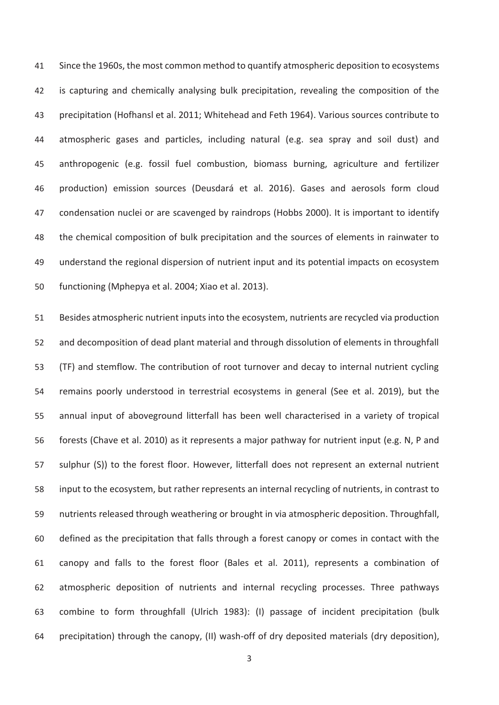41 Since the 1960s, the most common method to quantify atmospheric deposition to ecosystems 42 is capturing and chemically analysing bulk precipitation, revealing the composition of the 43 precipitation (Hofhansl et al. 2011; Whitehead and Feth 1964). Various sources contribute to 44 atmospheric gases and particles, including natural (e.g. sea spray and soil dust) and 45 anthropogenic (e.g. fossil fuel combustion, biomass burning, agriculture and fertilizer 46 production) emission sources (Deusdará et al. 2016). Gases and aerosols form cloud 47 condensation nuclei or are scavenged by raindrops (Hobbs 2000). It is important to identify 48 the chemical composition of bulk precipitation and the sources of elements in rainwater to 49 understand the regional dispersion of nutrient input and its potential impacts on ecosystem 50 functioning (Mphepya et al. 2004; Xiao et al. 2013).

51 Besides atmospheric nutrient inputs into the ecosystem, nutrients are recycled via production 52 and decomposition of dead plant material and through dissolution of elements in throughfall 53 (TF) and stemflow. The contribution of root turnover and decay to internal nutrient cycling 54 remains poorly understood in terrestrial ecosystems in general (See et al. 2019), but the 55 annual input of aboveground litterfall has been well characterised in a variety of tropical 56 forests (Chave et al. 2010) as it represents a major pathway for nutrient input (e.g. N, P and 57 sulphur (S)) to the forest floor. However, litterfall does not represent an external nutrient 58 input to the ecosystem, but rather represents an internal recycling of nutrients, in contrast to 59 nutrients released through weathering or brought in via atmospheric deposition. Throughfall, 60 defined as the precipitation that falls through a forest canopy or comes in contact with the 61 canopy and falls to the forest floor (Bales et al. 2011), represents a combination of 62 atmospheric deposition of nutrients and internal recycling processes. Three pathways 63 combine to form throughfall (Ulrich 1983): (I) passage of incident precipitation (bulk 64 precipitation) through the canopy, (II) wash-off of dry deposited materials (dry deposition),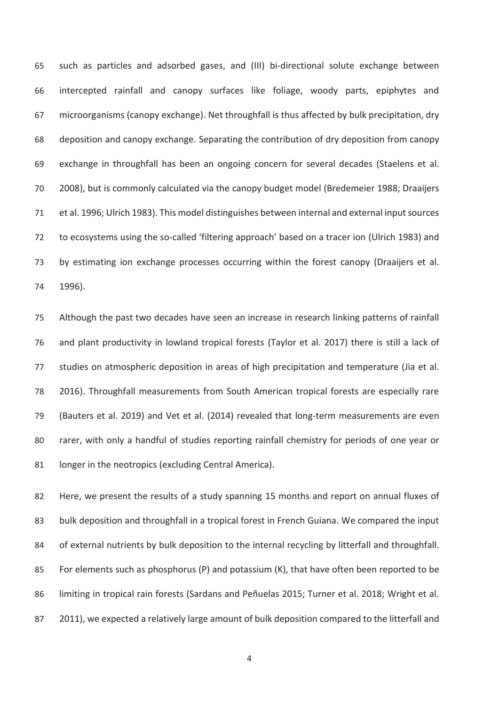65 such as particles and adsorbed gases, and (III) bi-directional solute exchange between 66 intercepted rainfall and canopy surfaces like foliage, woody parts, epiphytes and 67 microorganisms (canopy exchange). Net throughfall is thus affected by bulk precipitation, dry 68 deposition and canopy exchange. Separating the contribution of dry deposition from canopy 69 exchange in throughfall has been an ongoing concern for several decades (Staelens et al. 70 2008), but is commonly calculated via the canopy budget model (Bredemeier 1988; Draaijers 71 et al. 1996; Ulrich 1983). This model distinguishes between internal and external input sources 72 to ecosystems using the so-called 'filtering approach' based on a tracer ion (Ulrich 1983) and 73 by estimating ion exchange processes occurring within the forest canopy (Draaijers et al. 74 1996).

75 Although the past two decades have seen an increase in research linking patterns of rainfall 76 and plant productivity in lowland tropical forests (Taylor et al. 2017) there is still a lack of 77 studies on atmospheric deposition in areas of high precipitation and temperature (Jia et al. 78 2016). Throughfall measurements from South American tropical forests are especially rare 79 (Bauters et al. 2019) and Vet et al. (2014) revealed that long-term measurements are even 80 rarer, with only a handful of studies reporting rainfall chemistry for periods of one year or 81 longer in the neotropics (excluding Central America).

82 Here, we present the results of a study spanning 15 months and report on annual fluxes of 83 bulk deposition and throughfall in a tropical forest in French Guiana. We compared the input 84 of external nutrients by bulk deposition to the internal recycling by litterfall and throughfall. 85 For elements such as phosphorus (P) and potassium (K), that have often been reported to be 86 limiting in tropical rain forests (Sardans and Peñuelas 2015; Turner et al. 2018; Wright et al. 87 2011), we expected a relatively large amount of bulk deposition compared to the litterfall and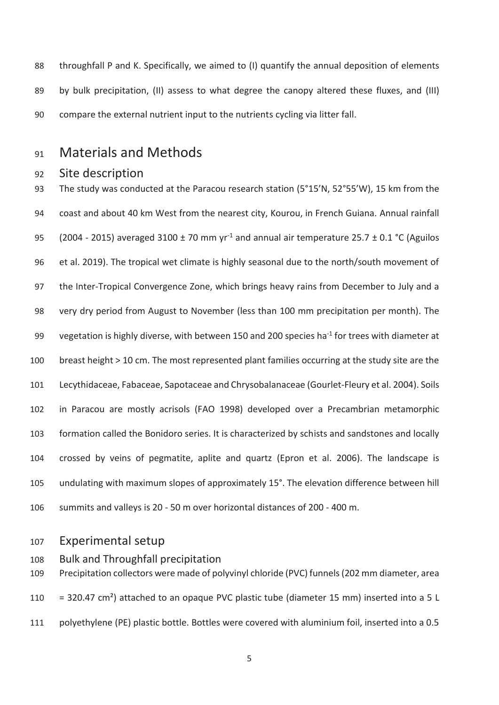88 throughfall P and K. Specifically, we aimed to (I) quantify the annual deposition of elements 89 by bulk precipitation, (II) assess to what degree the canopy altered these fluxes, and (III) 90 compare the external nutrient input to the nutrients cycling via litter fall.

# 91 Materials and Methods

## 92 Site description

93 The study was conducted at the Paracou research station (5°15'N, 52°55'W), 15 km from the 94 coast and about 40 km West from the nearest city, Kourou, in French Guiana. Annual rainfall 95 (2004 - 2015) averaged 3100  $\pm$  70 mm yr<sup>-1</sup> and annual air temperature 25.7  $\pm$  0.1 °C (Aguilos 96 et al. 2019). The tropical wet climate is highly seasonal due to the north/south movement of 97 the Inter-Tropical Convergence Zone, which brings heavy rains from December to July and a 98 very dry period from August to November (less than 100 mm precipitation per month). The 99 vegetation is highly diverse, with between 150 and 200 species ha<sup>-1</sup> for trees with diameter at 100 breast height > 10 cm. The most represented plant families occurring at the study site are the 101 Lecythidaceae, Fabaceae, Sapotaceae and Chrysobalanaceae (Gourlet-Fleury et al. 2004). Soils 102 in Paracou are mostly acrisols (FAO 1998) developed over a Precambrian metamorphic 103 formation called the Bonidoro series. It is characterized by schists and sandstones and locally 104 crossed by veins of pegmatite, aplite and quartz (Epron et al. 2006). The landscape is 105 undulating with maximum slopes of approximately 15°. The elevation difference between hill 106 summits and valleys is 20 - 50 m over horizontal distances of 200 - 400 m.

## 107 Experimental setup

108 Bulk and Throughfall precipitation

109 Precipitation collectors were made of polyvinyl chloride (PVC) funnels (202 mm diameter, area 110 = 320.47 cm²) attached to an opaque PVC plastic tube (diameter 15 mm) inserted into a 5 L 111 polyethylene (PE) plastic bottle. Bottles were covered with aluminium foil, inserted into a 0.5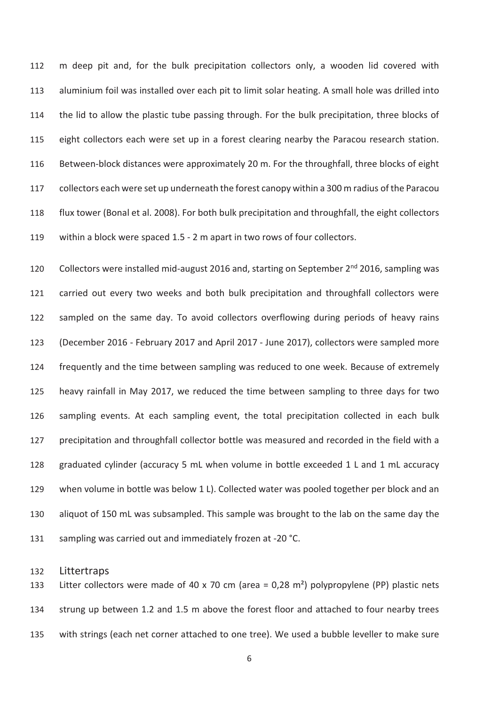112 m deep pit and, for the bulk precipitation collectors only, a wooden lid covered with 113 aluminium foil was installed over each pit to limit solar heating. A small hole was drilled into 114 the lid to allow the plastic tube passing through. For the bulk precipitation, three blocks of 115 eight collectors each were set up in a forest clearing nearby the Paracou research station. 116 Between-block distances were approximately 20 m. For the throughfall, three blocks of eight 117 collectors each were set up underneath the forest canopy within a 300 m radius of the Paracou 118 flux tower (Bonal et al. 2008). For both bulk precipitation and throughfall, the eight collectors 119 within a block were spaced 1.5 - 2 m apart in two rows of four collectors.

120 Collectors were installed mid-august 2016 and, starting on September 2<sup>nd</sup> 2016, sampling was 121 carried out every two weeks and both bulk precipitation and throughfall collectors were 122 sampled on the same day. To avoid collectors overflowing during periods of heavy rains 123 (December 2016 - February 2017 and April 2017 - June 2017), collectors were sampled more 124 frequently and the time between sampling was reduced to one week. Because of extremely 125 heavy rainfall in May 2017, we reduced the time between sampling to three days for two 126 sampling events. At each sampling event, the total precipitation collected in each bulk 127 precipitation and throughfall collector bottle was measured and recorded in the field with a 128 graduated cylinder (accuracy 5 mL when volume in bottle exceeded 1 L and 1 mL accuracy 129 when volume in bottle was below 1 L). Collected water was pooled together per block and an 130 aliquot of 150 mL was subsampled. This sample was brought to the lab on the same day the 131 sampling was carried out and immediately frozen at -20 °C.

## 132 Littertraps

133 Litter collectors were made of 40 x 70 cm (area = 0,28 m<sup>2</sup>) polypropylene (PP) plastic nets 134 strung up between 1.2 and 1.5 m above the forest floor and attached to four nearby trees 135 with strings (each net corner attached to one tree). We used a bubble leveller to make sure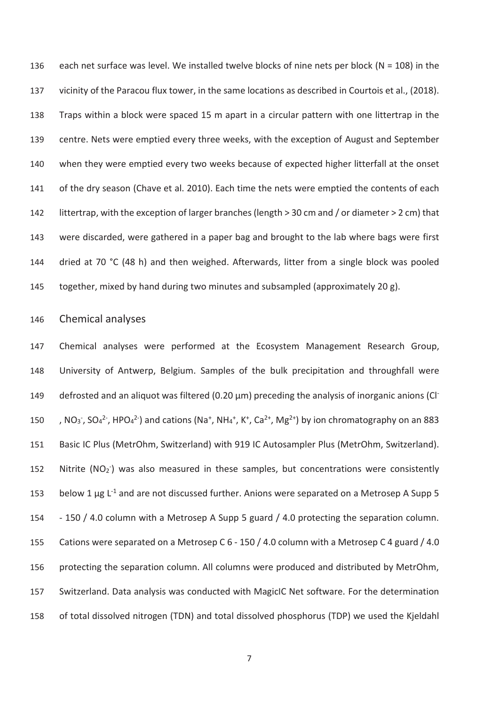136 each net surface was level. We installed twelve blocks of nine nets per block ( $N = 108$ ) in the 137 vicinity of the Paracou flux tower, in the same locations as described in Courtois et al., (2018). 138 Traps within a block were spaced 15 m apart in a circular pattern with one littertrap in the 139 centre. Nets were emptied every three weeks, with the exception of August and September 140 when they were emptied every two weeks because of expected higher litterfall at the onset 141 of the dry season (Chave et al. 2010). Each time the nets were emptied the contents of each 142 littertrap, with the exception of larger branches (length > 30 cm and / or diameter > 2 cm) that 143 were discarded, were gathered in a paper bag and brought to the lab where bags were first 144 dried at 70 °C (48 h) and then weighed. Afterwards, litter from a single block was pooled 145 together, mixed by hand during two minutes and subsampled (approximately 20 g).

## 146 Chemical analyses

147 Chemical analyses were performed at the Ecosystem Management Research Group, 148 University of Antwerp, Belgium. Samples of the bulk precipitation and throughfall were defrosted and an aliquot was filtered (0.20 μm) preceding the analysis of inorganic anions (Cl- 149 150 , NO<sub>3</sub>, SO<sub>4</sub><sup>2</sup>, HPO<sub>4</sub><sup>2</sup>) and cations (Na<sup>+</sup>, NH<sub>4</sub><sup>+</sup>, K<sup>+</sup>, Ca<sup>2+</sup>, Mg<sup>2+</sup>) by ion chromatography on an 883 151 Basic IC Plus (MetrOhm, Switzerland) with 919 IC Autosampler Plus (MetrOhm, Switzerland). 152 Nitrite ( $NO<sub>2</sub>$ ) was also measured in these samples, but concentrations were consistently 153 below 1  $\mu$ g L<sup>-1</sup> and are not discussed further. Anions were separated on a Metrosep A Supp 5 154 - 150 / 4.0 column with a Metrosep A Supp 5 guard / 4.0 protecting the separation column. 155 Cations were separated on a Metrosep C 6 - 150 / 4.0 column with a Metrosep C 4 guard / 4.0 156 protecting the separation column. All columns were produced and distributed by MetrOhm, 157 Switzerland. Data analysis was conducted with MagicIC Net software. For the determination 158 of total dissolved nitrogen (TDN) and total dissolved phosphorus (TDP) we used the Kjeldahl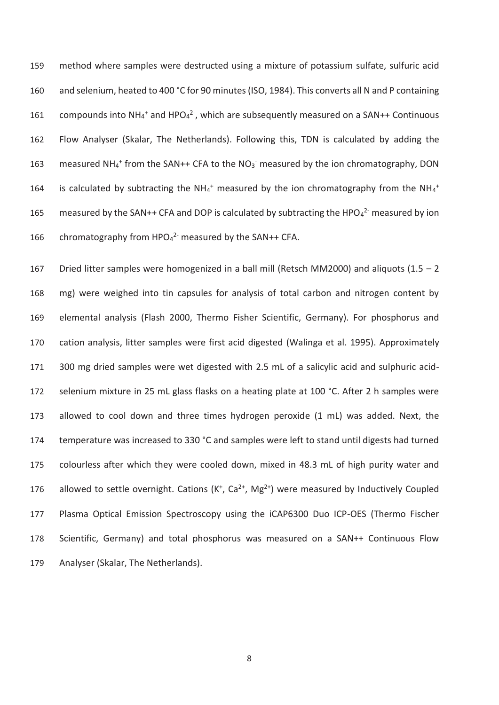159 method where samples were destructed using a mixture of potassium sulfate, sulfuric acid 160 and selenium, heated to 400 °C for 90 minutes (ISO, 1984). This converts all N and P containing 161 compounds into  $NH_4$ <sup>+</sup> and HPO<sub>4</sub><sup>2-</sup>, which are subsequently measured on a SAN++ Continuous 162 Flow Analyser (Skalar, The Netherlands). Following this, TDN is calculated by adding the 163 measured NH<sub>4</sub><sup>+</sup> from the SAN++ CFA to the NO<sub>3</sub><sup>-</sup> measured by the ion chromatography, DON 164 is calculated by subtracting the NH<sub>4</sub><sup>+</sup> measured by the ion chromatography from the NH<sub>4</sub><sup>+</sup> 165 measured by the SAN++ CFA and DOP is calculated by subtracting the HPO $_4$ <sup>2-</sup> measured by ion 166 chromatography from  $HPO<sub>4</sub><sup>2</sup>$  measured by the SAN++ CFA.

167 Dried litter samples were homogenized in a ball mill (Retsch MM2000) and aliquots (1.5 – 2 168 mg) were weighed into tin capsules for analysis of total carbon and nitrogen content by 169 elemental analysis (Flash 2000, Thermo Fisher Scientific, Germany). For phosphorus and 170 cation analysis, litter samples were first acid digested (Walinga et al. 1995). Approximately 171 300 mg dried samples were wet digested with 2.5 mL of a salicylic acid and sulphuric acid-172 selenium mixture in 25 mL glass flasks on a heating plate at 100 °C. After 2 h samples were 173 allowed to cool down and three times hydrogen peroxide (1 mL) was added. Next, the 174 temperature was increased to 330 °C and samples were left to stand until digests had turned 175 colourless after which they were cooled down, mixed in 48.3 mL of high purity water and 176 allowed to settle overnight. Cations  $(K^+, Ca^{2+}, Mg^{2+})$  were measured by Inductively Coupled 177 Plasma Optical Emission Spectroscopy using the iCAP6300 Duo ICP-OES (Thermo Fischer 178 Scientific, Germany) and total phosphorus was measured on a SAN++ Continuous Flow 179 Analyser (Skalar, The Netherlands).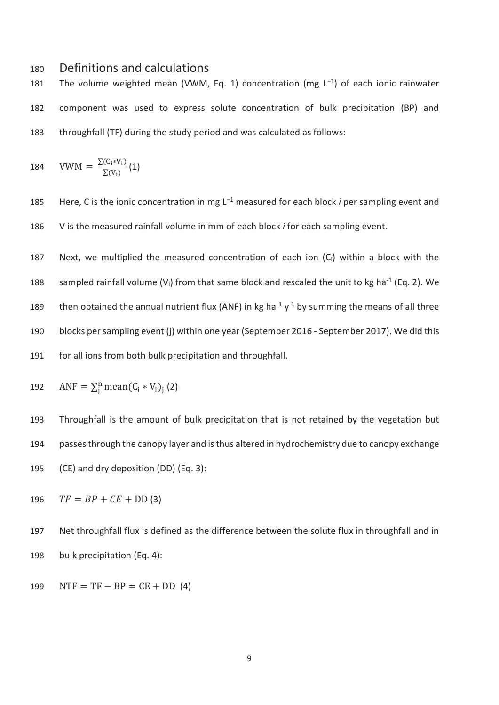# 180 Definitions and calculations

181 The volume weighted mean (VWM, Eq. 1) concentration (mg L<sup>-1</sup>) of each ionic rainwater 182 component was used to express solute concentration of bulk precipitation (BP) and 183 throughfall (TF) during the study period and was calculated as follows:

184 
$$
VWM = \frac{\Sigma(C_i * V_i)}{\Sigma(V_i)} (1)
$$

185 Here, C is the ionic concentration in mg L<sup>-1</sup> measured for each block *i* per sampling event and 186 V is the measured rainfall volume in mm of each block *i* for each sampling event.

187 Next, we multiplied the measured concentration of each ion (Ci) within a block with the 188 sampled rainfall volume (V<sub>i</sub>) from that same block and rescaled the unit to kg ha<sup>-1</sup> (Eq. 2). We 189 then obtained the annual nutrient flux (ANF) in kg ha<sup>-1</sup>  $y$ <sup>-1</sup> by summing the means of all three 190 blocks per sampling event (j) within one year (September 2016 - September 2017). We did this 191 for all ions from both bulk precipitation and throughfall.

192 
$$
ANF = \sum_{j}^{n} \text{mean}(C_i * V_i)_j (2)
$$

193 Throughfall is the amount of bulk precipitation that is not retained by the vegetation but 194 passes through the canopy layer and is thus altered in hydrochemistry due to canopy exchange 195 (CE) and dry deposition (DD) (Eq. 3):

 $TF = BP + CE + DD(3)$ 

197 Net throughfall flux is defined as the difference between the solute flux in throughfall and in 198 bulk precipitation (Eq. 4):

199  $NTF = TF - BP = CE + DD (4)$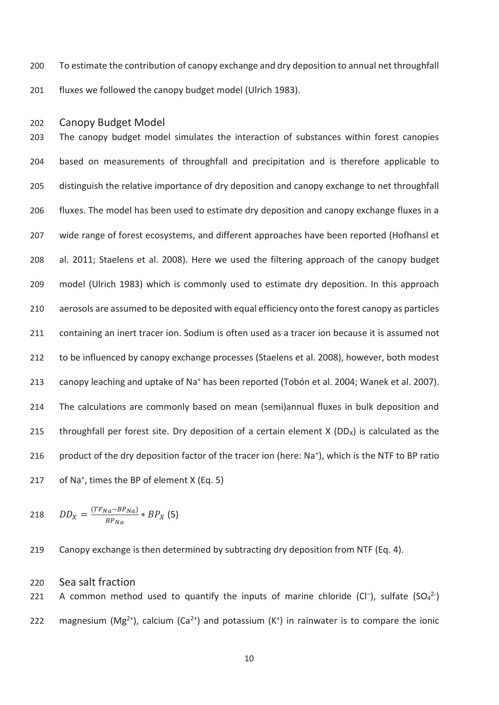200 To estimate the contribution of canopy exchange and dry deposition to annual net throughfall 201 fluxes we followed the canopy budget model (Ulrich 1983).

#### 202 Canopy Budget Model

203 The canopy budget model simulates the interaction of substances within forest canopies 204 based on measurements of throughfall and precipitation and is therefore applicable to 205 distinguish the relative importance of dry deposition and canopy exchange to net throughfall 206 fluxes. The model has been used to estimate dry deposition and canopy exchange fluxes in a 207 wide range of forest ecosystems, and different approaches have been reported (Hofhansl et 208 al. 2011; Staelens et al. 2008). Here we used the filtering approach of the canopy budget 209 model (Ulrich 1983) which is commonly used to estimate dry deposition. In this approach 210 aerosols are assumed to be deposited with equal efficiency onto the forest canopy as particles 211 containing an inert tracer ion. Sodium is often used as a tracer ion because it is assumed not 212 to be influenced by canopy exchange processes (Staelens et al. 2008), however, both modest 213 canopy leaching and uptake of Na<sup>+</sup> has been reported (Tobón et al. 2004; Wanek et al. 2007). 214 The calculations are commonly based on mean (semi)annual fluxes in bulk deposition and 215 throughfall per forest site. Dry deposition of a certain element  $X (DD_X)$  is calculated as the 216 product of the dry deposition factor of the tracer ion (here:  $Na<sup>+</sup>$ ), which is the NTF to BP ratio 217 of Na<sup>+</sup>, times the BP of element X (Eq. 5)

$$
218 \qquad DD_X = \frac{(TF_{Na} - BP_{Na})}{BP_{Na}} * BP_X (5)
$$

219 Canopy exchange is then determined by subtracting dry deposition from NTF (Eq. 4).

#### 220 Sea salt fraction

221 A common method used to quantify the inputs of marine chloride (Cl<sup>-</sup>), sulfate (SO<sub>4</sub><sup>2-</sup>) 222 magnesium (Mg<sup>2+</sup>), calcium (Ca<sup>2+</sup>) and potassium (K<sup>+</sup>) in rainwater is to compare the ionic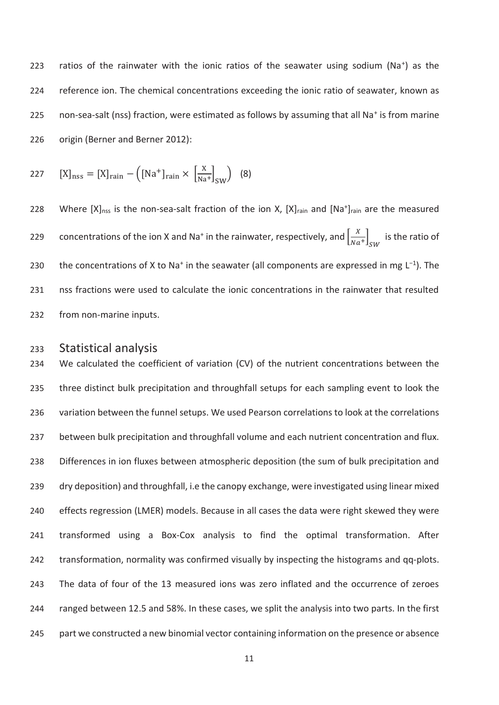223 ratios of the rainwater with the ionic ratios of the seawater using sodium (Na<sup>+</sup>) as the 224 reference ion. The chemical concentrations exceeding the ionic ratio of seawater, known as 225 non-sea-salt (nss) fraction, were estimated as follows by assuming that all Na<sup>+</sup> is from marine 226 origin (Berner and Berner 2012):

227 
$$
[X]_{\text{nss}} = [X]_{\text{rain}} - ([\text{Na}^+]_{\text{rain}} \times \left[\frac{X}{\text{Na}^+}\right]_{\text{SW}})
$$
 (8)

228 Where  $[X]_{\text{nss}}$  is the non-sea-salt fraction of the ion X,  $[X]_{\text{rain}}$  and  $[Na^+]_{\text{rain}}$  are the measured 229 concentrations of the ion X and Na<sup>+</sup> in the rainwater, respectively, and  $\left[\frac{X}{Na^+}\right]_{SW}$  is the ratio of 230 the concentrations of X to Na<sup>+</sup> in the seawater (all components are expressed in mg L<sup>-1</sup>). The 231 nss fractions were used to calculate the ionic concentrations in the rainwater that resulted 232 from non-marine inputs.

## 233 Statistical analysis

234 We calculated the coefficient of variation (CV) of the nutrient concentrations between the 235 three distinct bulk precipitation and throughfall setups for each sampling event to look the 236 variation between the funnel setups. We used Pearson correlations to look at the correlations 237 between bulk precipitation and throughfall volume and each nutrient concentration and flux. 238 Differences in ion fluxes between atmospheric deposition (the sum of bulk precipitation and 239 dry deposition) and throughfall, i.e the canopy exchange, were investigated using linear mixed 240 effects regression (LMER) models. Because in all cases the data were right skewed they were 241 transformed using a Box-Cox analysis to find the optimal transformation. After 242 transformation, normality was confirmed visually by inspecting the histograms and qq-plots. 243 The data of four of the 13 measured ions was zero inflated and the occurrence of zeroes 244 ranged between 12.5 and 58%. In these cases, we split the analysis into two parts. In the first 245 part we constructed a new binomial vector containing information on the presence or absence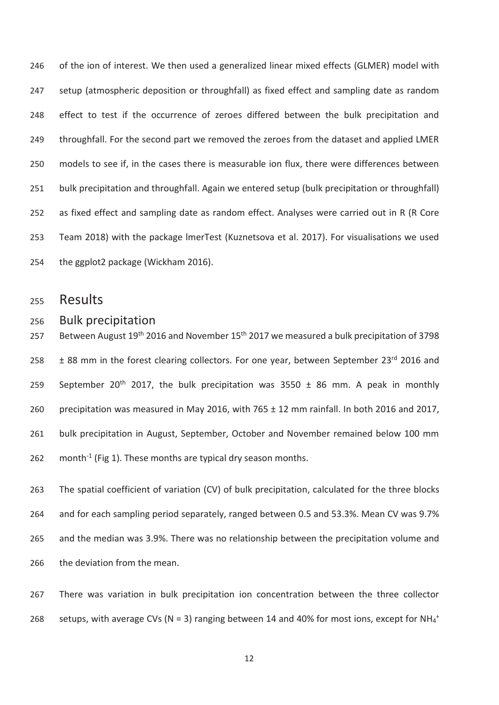246 of the ion of interest. We then used a generalized linear mixed effects (GLMER) model with 247 setup (atmospheric deposition or throughfall) as fixed effect and sampling date as random 248 effect to test if the occurrence of zeroes differed between the bulk precipitation and 249 throughfall. For the second part we removed the zeroes from the dataset and applied LMER 250 models to see if, in the cases there is measurable ion flux, there were differences between 251 bulk precipitation and throughfall. Again we entered setup (bulk precipitation or throughfall) 252 as fixed effect and sampling date as random effect. Analyses were carried out in R (R Core 253 Team 2018) with the package lmerTest (Kuznetsova et al. 2017). For visualisations we used 254 the ggplot2 package (Wickham 2016).

- 255 Results
- 256 Bulk precipitation

257 Between August  $19^{th}$  2016 and November 15<sup>th</sup> 2017 we measured a bulk precipitation of 3798 258  $\pm$  88 mm in the forest clearing collectors. For one year, between September 23<sup>rd</sup> 2016 and 259 September 20<sup>th</sup> 2017, the bulk precipitation was 3550  $\pm$  86 mm. A peak in monthly 260 precipitation was measured in May 2016, with 765  $\pm$  12 mm rainfall. In both 2016 and 2017, 261 bulk precipitation in August, September, October and November remained below 100 mm 262 month<sup>-1</sup> (Fig 1). These months are typical dry season months.

263 The spatial coefficient of variation (CV) of bulk precipitation, calculated for the three blocks 264 and for each sampling period separately, ranged between 0.5 and 53.3%. Mean CV was 9.7% 265 and the median was 3.9%. There was no relationship between the precipitation volume and 266 the deviation from the mean.

267 There was variation in bulk precipitation ion concentration between the three collector 268 setups, with average CVs (N = 3) ranging between 14 and 40% for most ions, except for NH<sub>4</sub><sup>+</sup>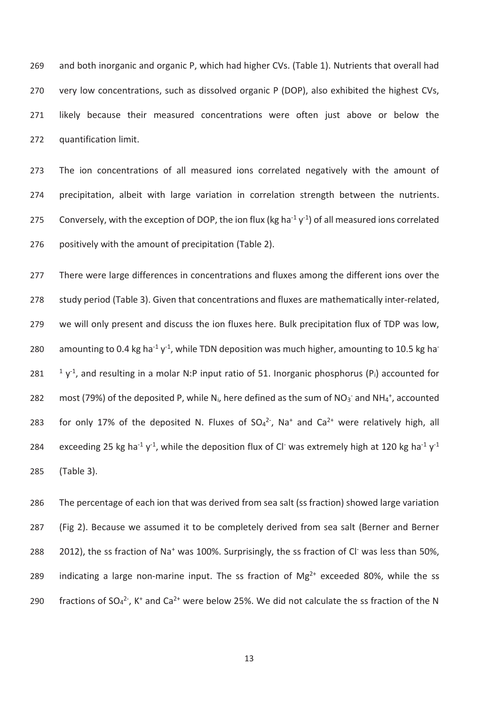269 and both inorganic and organic P, which had higher CVs. (Table 1). Nutrients that overall had 270 very low concentrations, such as dissolved organic P (DOP), also exhibited the highest CVs, 271 likely because their measured concentrations were often just above or below the 272 quantification limit.

273 The ion concentrations of all measured ions correlated negatively with the amount of 274 precipitation, albeit with large variation in correlation strength between the nutrients. 275 Conversely, with the exception of DOP, the ion flux (kg ha<sup>-1</sup> y<sup>-1</sup>) of all measured ions correlated 276 positively with the amount of precipitation (Table 2).

277 There were large differences in concentrations and fluxes among the different ions over the 278 study period (Table 3). Given that concentrations and fluxes are mathematically inter-related, 279 we will only present and discuss the ion fluxes here. Bulk precipitation flux of TDP was low, 280 amounting to 0.4 kg ha<sup>-1</sup> y<sup>-1</sup>, while TDN deposition was much higher, amounting to 10.5 kg ha<sup>-</sup> 281  $\frac{1}{1}y^1$ , and resulting in a molar N:P input ratio of 51. Inorganic phosphorus (P<sub>i</sub>) accounted for 282 most (79%) of the deposited P, while N<sub>i</sub>, here defined as the sum of NO<sub>3</sub><sup>-</sup> and NH<sub>4</sub><sup>+</sup>, accounted 283 for only 17% of the deposited N. Fluxes of  $SO_4^2$ , Na<sup>+</sup> and  $Ca^{2+}$  were relatively high, all 284 exceeding 25 kg ha<sup>-1</sup> y<sup>-1</sup>, while the deposition flux of Cl<sup>-</sup> was extremely high at 120 kg ha<sup>-1</sup> y<sup>-1</sup> 285 (Table 3).

286 The percentage of each ion that was derived from sea salt (ss fraction) showed large variation 287 (Fig 2). Because we assumed it to be completely derived from sea salt (Berner and Berner 288 2012), the ss fraction of Na<sup>+</sup> was 100%. Surprisingly, the ss fraction of Cl<sup>-</sup> was less than 50%, 289 indicating a large non-marine input. The ss fraction of  $Mg^{2+}$  exceeded 80%, while the ss 290 fractions of  $SO_4^2$ , K<sup>+</sup> and  $Ca^{2+}$  were below 25%. We did not calculate the ss fraction of the N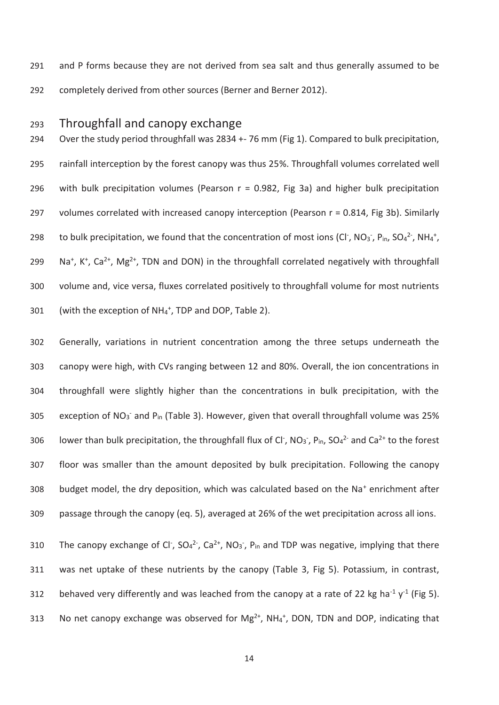291 and P forms because they are not derived from sea salt and thus generally assumed to be 292 completely derived from other sources (Berner and Berner 2012).

# 293 Throughfall and canopy exchange

294 Over the study period throughfall was 2834 +- 76 mm (Fig 1). Compared to bulk precipitation, 295 rainfall interception by the forest canopy was thus 25%. Throughfall volumes correlated well 296 with bulk precipitation volumes (Pearson  $r = 0.982$ , Fig 3a) and higher bulk precipitation 297 volumes correlated with increased canopy interception (Pearson  $r = 0.814$ , Fig 3b). Similarly 298 to bulk precipitation, we found that the concentration of most ions (CI<sup>-</sup>, NO<sub>3</sub><sup>-</sup>, P<sub>in</sub>, SO<sub>4</sub><sup>2-</sup>, NH<sub>4</sub><sup>+</sup>, 299 Na<sup>+</sup>, K<sup>+</sup>, Ca<sup>2+</sup>, Mg<sup>2+</sup>, TDN and DON) in the throughfall correlated negatively with throughfall 300 volume and, vice versa, fluxes correlated positively to throughfall volume for most nutrients 301 (with the exception of  $NH_4^+$ , TDP and DOP, Table 2).

302 Generally, variations in nutrient concentration among the three setups underneath the 303 canopy were high, with CVs ranging between 12 and 80%. Overall, the ion concentrations in 304 throughfall were slightly higher than the concentrations in bulk precipitation, with the 305 exception of NO<sub>3</sub><sup>-</sup> and P<sub>in</sub> (Table 3). However, given that overall throughfall volume was 25% 306 lower than bulk precipitation, the throughfall flux of Cl<sup>-</sup>, NO<sub>3</sub><sup>-</sup>, P<sub>in</sub>, SO<sub>4</sub><sup>2-</sup> and Ca<sup>2+</sup> to the forest 307 floor was smaller than the amount deposited by bulk precipitation. Following the canopy 308 budget model, the dry deposition, which was calculated based on the Na<sup>+</sup> enrichment after 309 passage through the canopy (eq. 5), averaged at 26% of the wet precipitation across all ions.

310 The canopy exchange of Cl<sup>-</sup>,  $SO_4^2$ <sup>-</sup>,  $Ca^2$ <sup>+</sup>, NO<sub>3</sub><sup>-</sup>, P<sub>in</sub> and TDP was negative, implying that there 311 was net uptake of these nutrients by the canopy (Table 3, Fig 5). Potassium, in contrast, 312 behaved very differently and was leached from the canopy at a rate of 22 kg ha<sup>-1</sup> y<sup>-1</sup> (Fig 5). 313 No net canopy exchange was observed for  $Mg^{2+}$ , NH<sub>4</sub><sup>+</sup>, DON, TDN and DOP, indicating that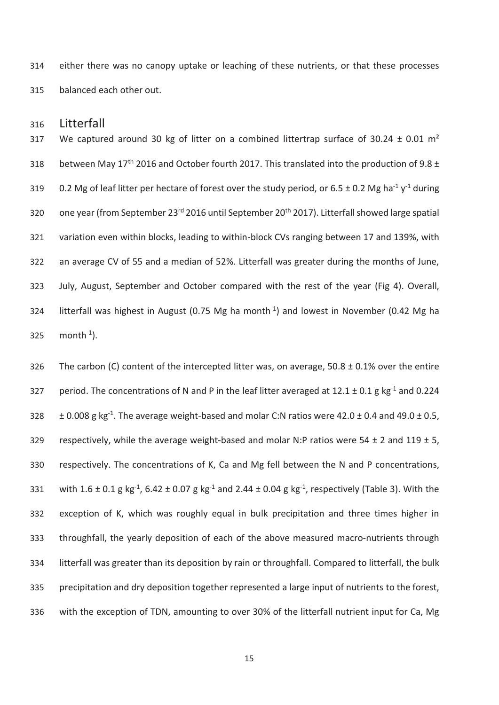314 either there was no canopy uptake or leaching of these nutrients, or that these processes 315 balanced each other out.

316 Litterfall

317 We captured around 30 kg of litter on a combined littertrap surface of 30.24  $\pm$  0.01 m<sup>2</sup> 318 between May  $17<sup>th</sup>$  2016 and October fourth 2017. This translated into the production of 9.8  $\pm$ 319 0.2 Mg of leaf litter per hectare of forest over the study period, or 6.5  $\pm$  0.2 Mg ha<sup>-1</sup> y<sup>-1</sup> during 320 one year (from September 23<sup>rd</sup> 2016 until September 20<sup>th</sup> 2017). Litterfall showed large spatial 321 variation even within blocks, leading to within-block CVs ranging between 17 and 139%, with 322 an average CV of 55 and a median of 52%. Litterfall was greater during the months of June, 323 July, August, September and October compared with the rest of the year (Fig 4). Overall, 324 litterfall was highest in August (0.75 Mg ha month<sup>-1</sup>) and lowest in November (0.42 Mg ha  $325$  month<sup>-1</sup>).

326 The carbon (C) content of the intercepted litter was, on average,  $50.8 \pm 0.1\%$  over the entire 327 period. The concentrations of N and P in the leaf litter averaged at  $12.1 \pm 0.1$  g kg<sup>-1</sup> and 0.224  $\pm 0.008$  g kg<sup>-1</sup>. The average weight-based and molar C:N ratios were 42.0  $\pm$  0.4 and 49.0  $\pm$  0.5, 329 respectively, while the average weight-based and molar N:P ratios were  $54 \pm 2$  and  $119 \pm 5$ , 330 respectively. The concentrations of K, Ca and Mg fell between the N and P concentrations, 331 with  $1.6 \pm 0.1$  g kg<sup>-1</sup>,  $6.42 \pm 0.07$  g kg<sup>-1</sup> and  $2.44 \pm 0.04$  g kg<sup>-1</sup>, respectively (Table 3). With the 332 exception of K, which was roughly equal in bulk precipitation and three times higher in 333 throughfall, the yearly deposition of each of the above measured macro-nutrients through 334 litterfall was greater than its deposition by rain or throughfall. Compared to litterfall, the bulk 335 precipitation and dry deposition together represented a large input of nutrients to the forest, 336 with the exception of TDN, amounting to over 30% of the litterfall nutrient input for Ca, Mg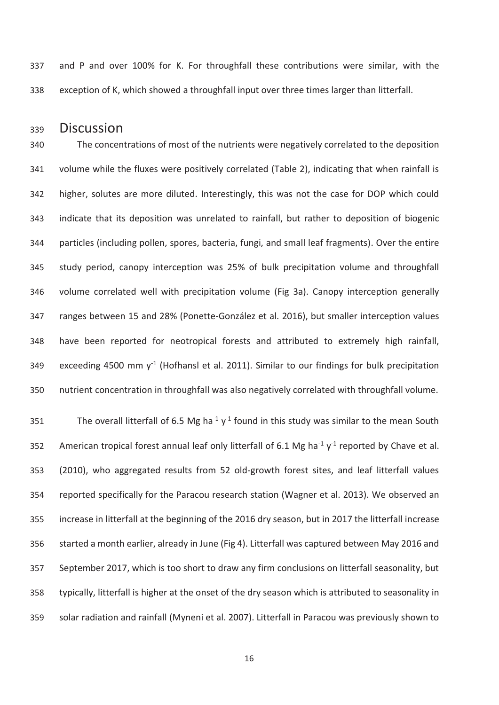337 and P and over 100% for K. For throughfall these contributions were similar, with the 338 exception of K, which showed a throughfall input over three times larger than litterfall.

# 339 Discussion

340 The concentrations of most of the nutrients were negatively correlated to the deposition 341 volume while the fluxes were positively correlated (Table 2), indicating that when rainfall is 342 higher, solutes are more diluted. Interestingly, this was not the case for DOP which could 343 indicate that its deposition was unrelated to rainfall, but rather to deposition of biogenic 344 particles (including pollen, spores, bacteria, fungi, and small leaf fragments). Over the entire 345 study period, canopy interception was 25% of bulk precipitation volume and throughfall 346 volume correlated well with precipitation volume (Fig 3a). Canopy interception generally 347 ranges between 15 and 28% (Ponette-González et al. 2016), but smaller interception values 348 have been reported for neotropical forests and attributed to extremely high rainfall, 349 exceeding 4500 mm  $y^{-1}$  (Hofhansl et al. 2011). Similar to our findings for bulk precipitation 350 nutrient concentration in throughfall was also negatively correlated with throughfall volume.

351 The overall litterfall of 6.5 Mg ha<sup>-1</sup> y<sup>-1</sup> found in this study was similar to the mean South 352 American tropical forest annual leaf only litterfall of 6.1 Mg ha<sup>-1</sup> y<sup>-1</sup> reported by Chave et al. 353 (2010), who aggregated results from 52 old-growth forest sites, and leaf litterfall values 354 reported specifically for the Paracou research station (Wagner et al. 2013). We observed an 355 increase in litterfall at the beginning of the 2016 dry season, but in 2017 the litterfall increase 356 started a month earlier, already in June (Fig 4). Litterfall was captured between May 2016 and 357 September 2017, which is too short to draw any firm conclusions on litterfall seasonality, but 358 typically, litterfall is higher at the onset of the dry season which is attributed to seasonality in 359 solar radiation and rainfall (Myneni et al. 2007). Litterfall in Paracou was previously shown to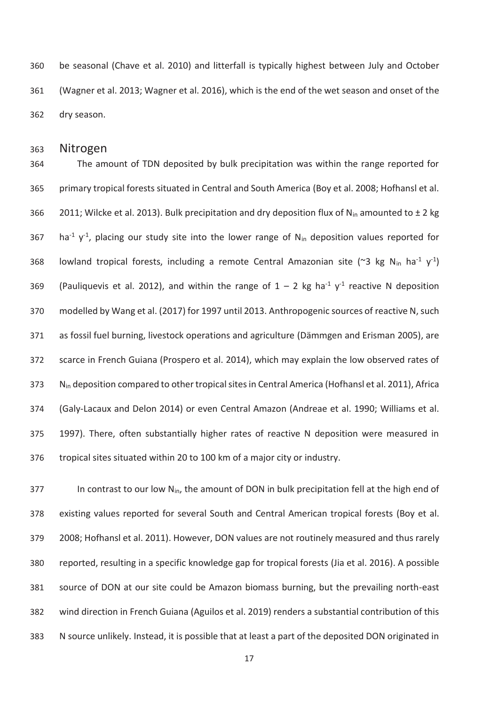360 be seasonal (Chave et al. 2010) and litterfall is typically highest between July and October 361 (Wagner et al. 2013; Wagner et al. 2016), which is the end of the wet season and onset of the 362 dry season.

### 363 Nitrogen

364 The amount of TDN deposited by bulk precipitation was within the range reported for 365 primary tropical forests situated in Central and South America (Boy et al. 2008; Hofhansl et al. 366 2011; Wilcke et al. 2013). Bulk precipitation and dry deposition flux of N<sub>in</sub> amounted to  $\pm 2$  kg 367 ha<sup>-1</sup> y<sup>-1</sup>, placing our study site into the lower range of N<sub>in</sub> deposition values reported for 368 lowland tropical forests, including a remote Central Amazonian site (~3 kg N<sub>in</sub> ha<sup>-1</sup> y<sup>-1</sup>) 369 (Pauliquevis et al. 2012), and within the range of  $1 - 2$  kg ha<sup>-1</sup>  $y$ <sup>-1</sup> reactive N deposition 370 modelled by Wang et al. (2017) for 1997 until 2013. Anthropogenic sources of reactive N, such 371 as fossil fuel burning, livestock operations and agriculture (Dämmgen and Erisman 2005), are 372 scarce in French Guiana (Prospero et al. 2014), which may explain the low observed rates of 373 N<sub>in</sub> deposition compared to other tropical sites in Central America (Hofhansl et al. 2011), Africa 374 (Galy-Lacaux and Delon 2014) or even Central Amazon (Andreae et al. 1990; Williams et al. 375 1997). There, often substantially higher rates of reactive N deposition were measured in 376 tropical sites situated within 20 to 100 km of a major city or industry.

377 In contrast to our low N<sub>in</sub>, the amount of DON in bulk precipitation fell at the high end of 378 existing values reported for several South and Central American tropical forests (Boy et al. 379 2008; Hofhansl et al. 2011). However, DON values are not routinely measured and thus rarely 380 reported, resulting in a specific knowledge gap for tropical forests (Jia et al. 2016). A possible 381 source of DON at our site could be Amazon biomass burning, but the prevailing north-east 382 wind direction in French Guiana (Aguilos et al. 2019) renders a substantial contribution of this 383 N source unlikely. Instead, it is possible that at least a part of the deposited DON originated in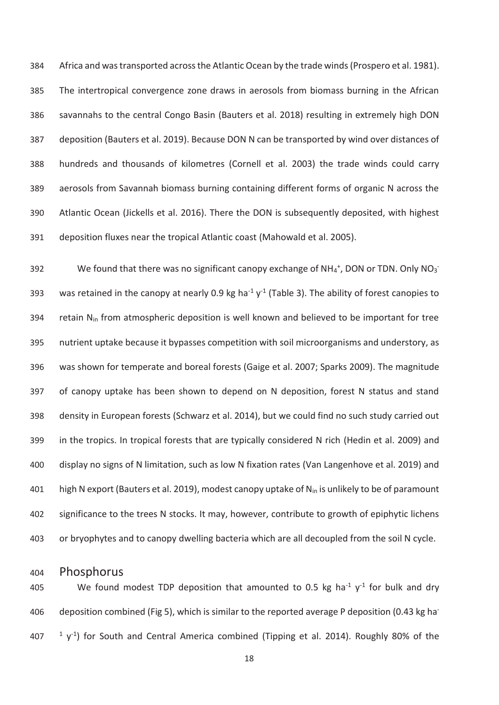384 Africa and was transported across the Atlantic Ocean by the trade winds (Prospero et al. 1981). 385 The intertropical convergence zone draws in aerosols from biomass burning in the African 386 savannahs to the central Congo Basin (Bauters et al. 2018) resulting in extremely high DON 387 deposition (Bauters et al. 2019). Because DON N can be transported by wind over distances of 388 hundreds and thousands of kilometres (Cornell et al. 2003) the trade winds could carry 389 aerosols from Savannah biomass burning containing different forms of organic N across the 390 Atlantic Ocean (Jickells et al. 2016). There the DON is subsequently deposited, with highest 391 deposition fluxes near the tropical Atlantic coast (Mahowald et al. 2005).

392 We found that there was no significant canopy exchange of  $NH_4^+$ , DON or TDN. Only NO<sub>3</sub> 393 was retained in the canopy at nearly 0.9 kg ha<sup>-1</sup> y<sup>-1</sup> (Table 3). The ability of forest canopies to 394 retain  $N_{in}$  from atmospheric deposition is well known and believed to be important for tree 395 nutrient uptake because it bypasses competition with soil microorganisms and understory, as 396 was shown for temperate and boreal forests (Gaige et al. 2007; Sparks 2009). The magnitude 397 of canopy uptake has been shown to depend on N deposition, forest N status and stand 398 density in European forests (Schwarz et al. 2014), but we could find no such study carried out 399 in the tropics. In tropical forests that are typically considered N rich (Hedin et al. 2009) and 400 display no signs of N limitation, such as low N fixation rates (Van Langenhove et al. 2019) and 401 high N export (Bauters et al. 2019), modest canopy uptake of N<sub>in</sub> is unlikely to be of paramount 402 significance to the trees N stocks. It may, however, contribute to growth of epiphytic lichens 403 or bryophytes and to canopy dwelling bacteria which are all decoupled from the soil N cycle.

# 404 Phosphorus

405 We found modest TDP deposition that amounted to 0.5 kg ha<sup>-1</sup>  $y$ <sup>-1</sup> for bulk and dry 406 deposition combined (Fig 5), which is similar to the reported average P deposition (0.43 kg ha- $107$  <sup>1</sup> y<sup>-1</sup>) for South and Central America combined (Tipping et al. 2014). Roughly 80% of the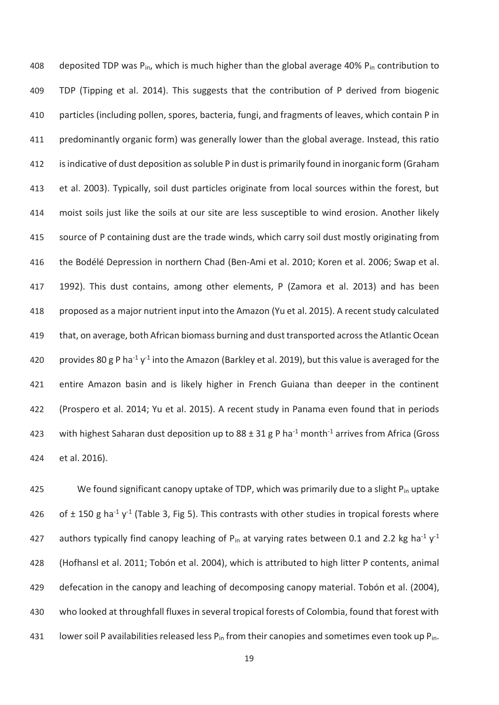408 deposited TDP was  $P_{in}$ , which is much higher than the global average 40%  $P_{in}$  contribution to 409 TDP (Tipping et al. 2014). This suggests that the contribution of P derived from biogenic 410 particles (including pollen, spores, bacteria, fungi, and fragments of leaves, which contain P in 411 predominantly organic form) was generally lower than the global average. Instead, this ratio 412 is indicative of dust deposition as soluble P in dust is primarily found in inorganic form (Graham 413 et al. 2003). Typically, soil dust particles originate from local sources within the forest, but 414 moist soils just like the soils at our site are less susceptible to wind erosion. Another likely 415 source of P containing dust are the trade winds, which carry soil dust mostly originating from 416 the Bodélé Depression in northern Chad (Ben-Ami et al. 2010; Koren et al. 2006; Swap et al. 417 1992). This dust contains, among other elements, P (Zamora et al. 2013) and has been 418 proposed as a major nutrient input into the Amazon (Yu et al. 2015). A recent study calculated 419 that, on average, both African biomass burning and dust transported across the Atlantic Ocean 420 provides 80 g P ha<sup>-1</sup> y<sup>-1</sup> into the Amazon (Barkley et al. 2019), but this value is averaged for the 421 entire Amazon basin and is likely higher in French Guiana than deeper in the continent 422 (Prospero et al. 2014; Yu et al. 2015). A recent study in Panama even found that in periods 423 with highest Saharan dust deposition up to  $88 \pm 31$  g P ha<sup>-1</sup> month<sup>-1</sup> arrives from Africa (Gross 424 et al. 2016).

425 We found significant canopy uptake of TDP, which was primarily due to a slight  $P_{in}$  uptake 426 of  $\pm$  150 g ha<sup>-1</sup> y<sup>-1</sup> (Table 3, Fig 5). This contrasts with other studies in tropical forests where 427 authors typically find canopy leaching of P<sub>in</sub> at varying rates between 0.1 and 2.2 kg ha<sup>-1</sup> y<sup>-1</sup> 428 (Hofhansl et al. 2011; Tobón et al. 2004), which is attributed to high litter P contents, animal 429 defecation in the canopy and leaching of decomposing canopy material. Tobón et al. (2004), 430 who looked at throughfall fluxes in several tropical forests of Colombia, found that forest with 431 lower soil P availabilities released less  $P_{in}$  from their canopies and sometimes even took up  $P_{in}$ .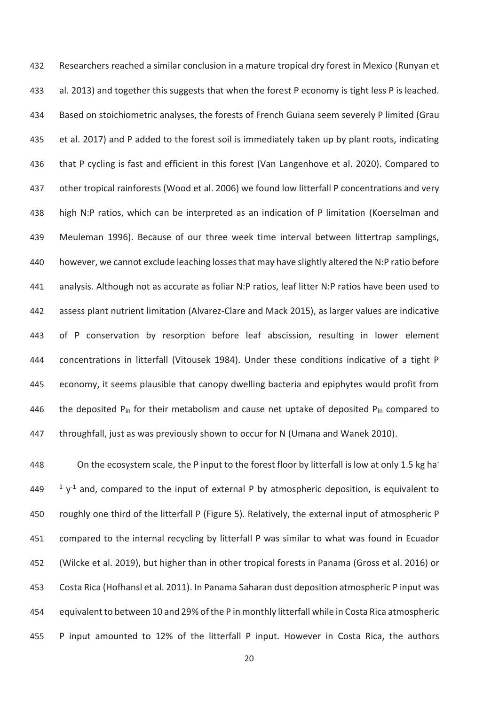432 Researchers reached a similar conclusion in a mature tropical dry forest in Mexico (Runyan et 433 al. 2013) and together this suggests that when the forest P economy is tight less P is leached. 434 Based on stoichiometric analyses, the forests of French Guiana seem severely P limited (Grau 435 et al. 2017) and P added to the forest soil is immediately taken up by plant roots, indicating 436 that P cycling is fast and efficient in this forest (Van Langenhove et al. 2020). Compared to 437 other tropical rainforests (Wood et al. 2006) we found low litterfall P concentrations and very 438 high N:P ratios, which can be interpreted as an indication of P limitation (Koerselman and 439 Meuleman 1996). Because of our three week time interval between littertrap samplings, 440 however, we cannot exclude leaching losses that may have slightly altered the N:P ratio before 441 analysis. Although not as accurate as foliar N:P ratios, leaf litter N:P ratios have been used to 442 assess plant nutrient limitation (Alvarez-Clare and Mack 2015), as larger values are indicative 443 of P conservation by resorption before leaf abscission, resulting in lower element 444 concentrations in litterfall (Vitousek 1984). Under these conditions indicative of a tight P 445 economy, it seems plausible that canopy dwelling bacteria and epiphytes would profit from 446 the deposited P<sub>in</sub> for their metabolism and cause net uptake of deposited P<sub>in</sub> compared to 447 throughfall, just as was previously shown to occur for N (Umana and Wanek 2010).

A48 On the ecosystem scale, the P input to the forest floor by litterfall is low at only 1.5 kg ha- $1449$  and, compared to the input of external P by atmospheric deposition, is equivalent to 450 roughly one third of the litterfall P (Figure 5). Relatively, the external input of atmospheric P 451 compared to the internal recycling by litterfall P was similar to what was found in Ecuador 452 (Wilcke et al. 2019), but higher than in other tropical forests in Panama (Gross et al. 2016) or 453 Costa Rica (Hofhansl et al. 2011). In Panama Saharan dust deposition atmospheric P input was 454 equivalent to between 10 and 29% of the P in monthly litterfall while in Costa Rica atmospheric 455 P input amounted to 12% of the litterfall P input. However in Costa Rica, the authors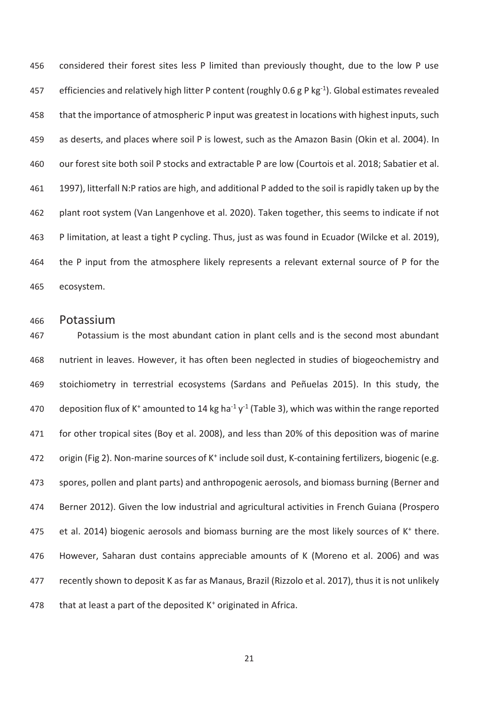456 considered their forest sites less P limited than previously thought, due to the low P use 457 efficiencies and relatively high litter P content (roughly 0.6 g P kg<sup>-1</sup>). Global estimates revealed 458 that the importance of atmospheric P input was greatest in locations with highest inputs, such 459 as deserts, and places where soil P is lowest, such as the Amazon Basin (Okin et al. 2004). In 460 our forest site both soil P stocks and extractable P are low (Courtois et al. 2018; Sabatier et al. 461 1997), litterfall N:P ratios are high, and additional P added to the soil is rapidly taken up by the 462 plant root system (Van Langenhove et al. 2020). Taken together, this seems to indicate if not 463 P limitation, at least a tight P cycling. Thus, just as was found in Ecuador (Wilcke et al. 2019), 464 the P input from the atmosphere likely represents a relevant external source of P for the 465 ecosystem.

## 466 Potassium

467 Potassium is the most abundant cation in plant cells and is the second most abundant 468 nutrient in leaves. However, it has often been neglected in studies of biogeochemistry and 469 stoichiometry in terrestrial ecosystems (Sardans and Peñuelas 2015). In this study, the 470 deposition flux of K<sup>+</sup> amounted to 14 kg ha<sup>-1</sup> y<sup>-1</sup> (Table 3), which was within the range reported 471 for other tropical sites (Boy et al. 2008), and less than 20% of this deposition was of marine 472 origin (Fig 2). Non-marine sources of K<sup>+</sup> include soil dust, K-containing fertilizers, biogenic (e.g. 473 spores, pollen and plant parts) and anthropogenic aerosols, and biomass burning (Berner and 474 Berner 2012). Given the low industrial and agricultural activities in French Guiana (Prospero 475 et al. 2014) biogenic aerosols and biomass burning are the most likely sources of  $K^+$  there. 476 However, Saharan dust contains appreciable amounts of K (Moreno et al. 2006) and was 477 recently shown to deposit K as far as Manaus, Brazil (Rizzolo et al. 2017), thus it is not unlikely 478 that at least a part of the deposited  $K^+$  originated in Africa.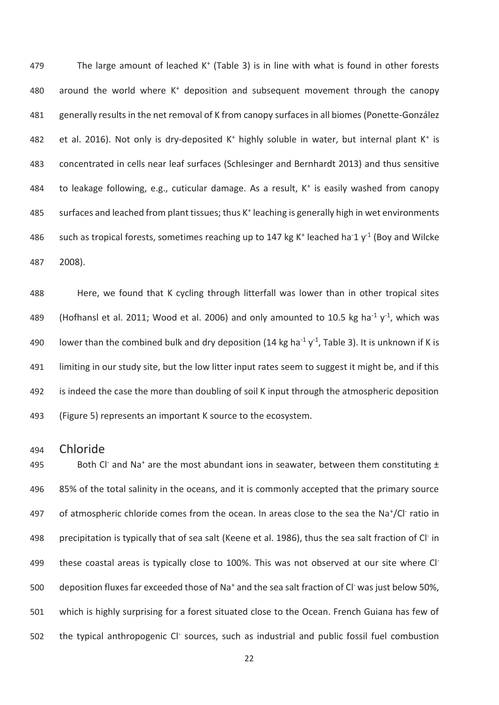$479$  The large amount of leached K<sup>+</sup> (Table 3) is in line with what is found in other forests 480 around the world where  $K^+$  deposition and subsequent movement through the canopy 481 generally results in the net removal of K from canopy surfaces in all biomes (Ponette-González 482 et al. 2016). Not only is dry-deposited  $K^+$  highly soluble in water, but internal plant  $K^+$  is 483 concentrated in cells near leaf surfaces (Schlesinger and Bernhardt 2013) and thus sensitive 484 to leakage following, e.g., cuticular damage. As a result,  $K^+$  is easily washed from canopy 485 surfaces and leached from plant tissues; thus K<sup>+</sup> leaching is generally high in wet environments 486 such as tropical forests, sometimes reaching up to 147 kg K<sup>+</sup> leached ha<sup>-1</sup> y<sup>-1</sup> (Boy and Wilcke 487 2008).

488 Here, we found that K cycling through litterfall was lower than in other tropical sites 489 (Hofhansl et al. 2011; Wood et al. 2006) and only amounted to 10.5 kg ha<sup>-1</sup> y<sup>-1</sup>, which was 490 lower than the combined bulk and dry deposition (14 kg ha<sup>-1</sup> y<sup>-1</sup>, Table 3). It is unknown if K is 491 limiting in our study site, but the low litter input rates seem to suggest it might be, and if this 492 is indeed the case the more than doubling of soil K input through the atmospheric deposition 493 (Figure 5) represents an important K source to the ecosystem.

494 Chloride

495 Both Cl<sup>-</sup> and Na<sup>+</sup> are the most abundant ions in seawater, between them constituting  $\pm$ 496 85% of the total salinity in the oceans, and it is commonly accepted that the primary source 497 of atmospheric chloride comes from the ocean. In areas close to the sea the Na<sup>+</sup>/Cl<sup>-</sup> ratio in 498 precipitation is typically that of sea salt (Keene et al. 1986), thus the sea salt fraction of Cl<sup>-</sup> in 499 these coastal areas is typically close to 100%. This was not observed at our site where Cl-500 deposition fluxes far exceeded those of Na<sup>+</sup> and the sea salt fraction of Cl<sup>-</sup> was just below 50%, 501 which is highly surprising for a forest situated close to the Ocean. French Guiana has few of 502 the typical anthropogenic Cl<sup>-</sup> sources, such as industrial and public fossil fuel combustion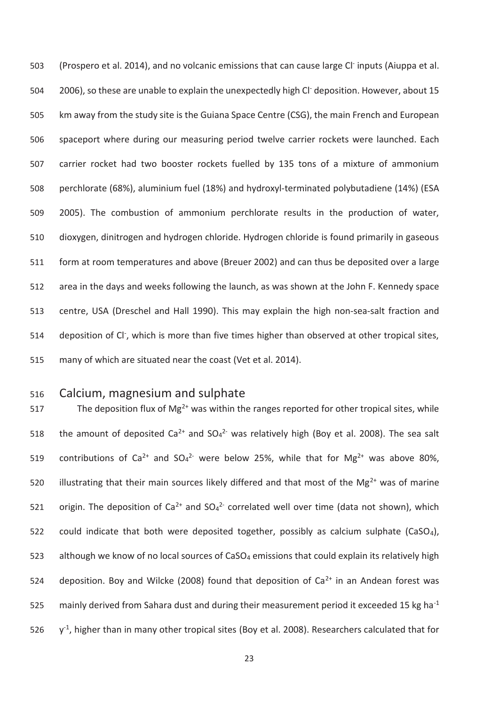503 (Prospero et al. 2014), and no volcanic emissions that can cause large Cl<sup>-</sup> inputs (Aiuppa et al. 504 2006), so these are unable to explain the unexpectedly high Cl<sup>-</sup> deposition. However, about 15 505 km away from the study site is the Guiana Space Centre (CSG), the main French and European 506 spaceport where during our measuring period twelve carrier rockets were launched. Each 507 carrier rocket had two booster rockets fuelled by 135 tons of a mixture of ammonium 508 perchlorate (68%), aluminium fuel (18%) and hydroxyl-terminated polybutadiene (14%) (ESA 509 2005). The combustion of ammonium perchlorate results in the production of water, 510 dioxygen, dinitrogen and hydrogen chloride. Hydrogen chloride is found primarily in gaseous 511 form at room temperatures and above (Breuer 2002) and can thus be deposited over a large 512 area in the days and weeks following the launch, as was shown at the John F. Kennedy space 513 centre, USA (Dreschel and Hall 1990). This may explain the high non-sea-salt fraction and 514 deposition of Cl<sup>-</sup>, which is more than five times higher than observed at other tropical sites, 515 many of which are situated near the coast (Vet et al. 2014).

# 516 Calcium, magnesium and sulphate

517 The deposition flux of Mg<sup>2+</sup> was within the ranges reported for other tropical sites, while 518 the amount of deposited Ca<sup>2+</sup> and  $SO_4^2$ <sup>-</sup> was relatively high (Boy et al. 2008). The sea salt 519 contributions of Ca<sup>2+</sup> and  $SO_4^2$  were below 25%, while that for Mg<sup>2+</sup> was above 80%, 520 illustrating that their main sources likely differed and that most of the Mg<sup>2+</sup> was of marine 521 origin. The deposition of Ca<sup>2+</sup> and  $SO_4^2$  correlated well over time (data not shown), which 522 could indicate that both were deposited together, possibly as calcium sulphate (CaSO<sub>4</sub>), 523 although we know of no local sources of CaSO<sub>4</sub> emissions that could explain its relatively high 524 deposition. Boy and Wilcke (2008) found that deposition of  $Ca^{2+}$  in an Andean forest was 525 mainly derived from Sahara dust and during their measurement period it exceeded 15 kg ha<sup>-1</sup> 526  $v<sup>1</sup>$ , higher than in many other tropical sites (Boy et al. 2008). Researchers calculated that for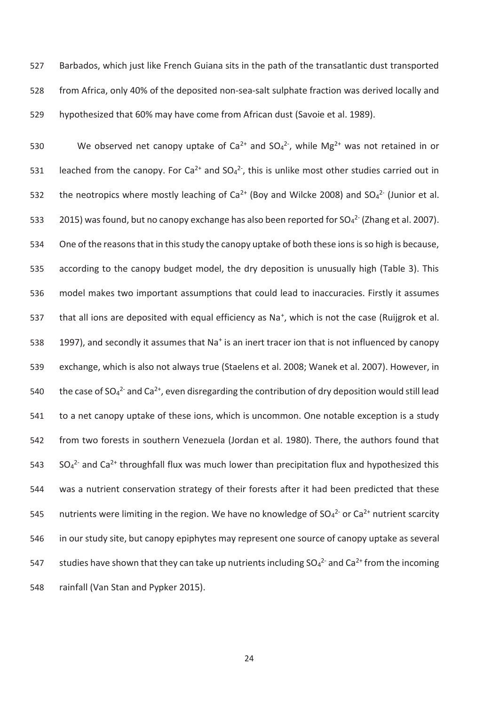527 Barbados, which just like French Guiana sits in the path of the transatlantic dust transported 528 from Africa, only 40% of the deposited non-sea-salt sulphate fraction was derived locally and 529 hypothesized that 60% may have come from African dust (Savoie et al. 1989).

530 We observed net canopy uptake of Ca<sup>2+</sup> and  $SO_4^2$ , while Mg<sup>2+</sup> was not retained in or 531 leached from the canopy. For Ca<sup>2+</sup> and  $SO_4^2$ , this is unlike most other studies carried out in 532 the neotropics where mostly leaching of  $Ca^{2+}$  (Boy and Wilcke 2008) and  $SO_4^{2-}$  (Junior et al. 533  $2015$ ) was found, but no canopy exchange has also been reported for SO<sub>4</sub><sup>2-</sup> (Zhang et al. 2007). 534 One of the reasons that in this study the canopy uptake of both these ions is so high is because, 535 according to the canopy budget model, the dry deposition is unusually high (Table 3). This 536 model makes two important assumptions that could lead to inaccuracies. Firstly it assumes 537 that all ions are deposited with equal efficiency as Na<sup>+</sup>, which is not the case (Ruijgrok et al. 538 1997), and secondly it assumes that Na<sup>+</sup> is an inert tracer ion that is not influenced by canopy 539 exchange, which is also not always true (Staelens et al. 2008; Wanek et al. 2007). However, in 540 the case of SO<sub>4</sub><sup>2-</sup> and Ca<sup>2+</sup>, even disregarding the contribution of dry deposition would still lead 541 to a net canopy uptake of these ions, which is uncommon. One notable exception is a study 542 from two forests in southern Venezuela (Jordan et al. 1980). There, the authors found that 543 SO<sub>4</sub><sup>2-</sup> and Ca<sup>2+</sup> throughfall flux was much lower than precipitation flux and hypothesized this 544 was a nutrient conservation strategy of their forests after it had been predicted that these 545 nutrients were limiting in the region. We have no knowledge of  $SO_4^2$  or  $Ca^{2+}$  nutrient scarcity 546 in our study site, but canopy epiphytes may represent one source of canopy uptake as several 547 studies have shown that they can take up nutrients including  $SO_4^{2-}$  and  $Ca^{2+}$  from the incoming 548 rainfall (Van Stan and Pypker 2015).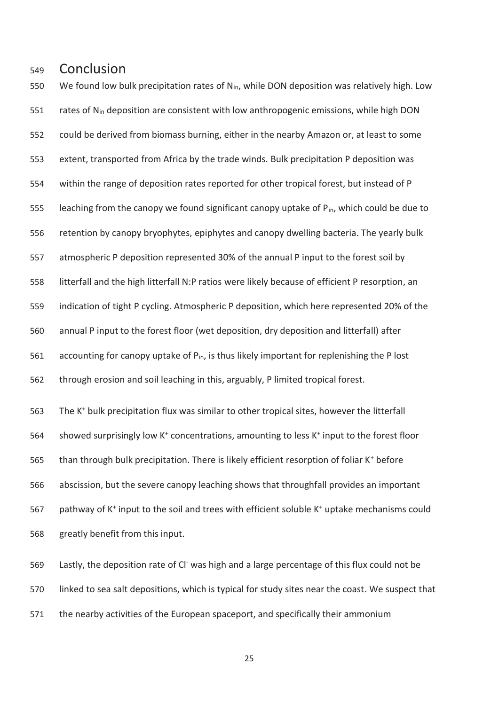# 549 Conclusion

550 We found low bulk precipitation rates of  $N_{in}$ , while DON deposition was relatively high. Low 551 rates of N<sub>in</sub> deposition are consistent with low anthropogenic emissions, while high DON 552 could be derived from biomass burning, either in the nearby Amazon or, at least to some 553 extent, transported from Africa by the trade winds. Bulk precipitation P deposition was 554 within the range of deposition rates reported for other tropical forest, but instead of P 555 leaching from the canopy we found significant canopy uptake of  $P_{in}$ , which could be due to 556 retention by canopy bryophytes, epiphytes and canopy dwelling bacteria. The yearly bulk 557 atmospheric P deposition represented 30% of the annual P input to the forest soil by 558 litterfall and the high litterfall N:P ratios were likely because of efficient P resorption, an 559 indication of tight P cycling. Atmospheric P deposition, which here represented 20% of the 560 annual P input to the forest floor (wet deposition, dry deposition and litterfall) after 561 accounting for canopy uptake of  $P_{in}$ , is thus likely important for replenishing the P lost 562 through erosion and soil leaching in this, arguably, P limited tropical forest.

563 The K<sup>+</sup> bulk precipitation flux was similar to other tropical sites, however the litterfall 564 showed surprisingly low K<sup>+</sup> concentrations, amounting to less K<sup>+</sup> input to the forest floor than through bulk precipitation. There is likely efficient resorption of foliar K<sup>+</sup> before 566 abscission, but the severe canopy leaching shows that throughfall provides an important 567 pathway of K<sup>+</sup> input to the soil and trees with efficient soluble K<sup>+</sup> uptake mechanisms could 568 greatly benefit from this input.

569 Lastly, the deposition rate of CI was high and a large percentage of this flux could not be 570 linked to sea salt depositions, which is typical for study sites near the coast. We suspect that 571 the nearby activities of the European spaceport, and specifically their ammonium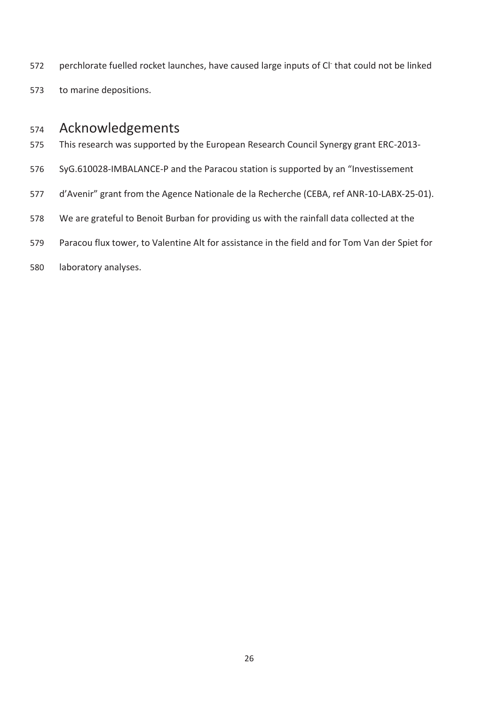- 572 perchlorate fuelled rocket launches, have caused large inputs of Cl<sup>-</sup> that could not be linked
- 573 to marine depositions.

# 574 Acknowledgements

- 575 This research was supported by the European Research Council Synergy grant ERC-2013-
- 576 SyG.610028-IMBALANCE-P and the Paracou station is supported by an "Investissement
- 577 d'Avenir" grant from the Agence Nationale de la Recherche (CEBA, ref ANR-10-LABX-25-01).
- 578 We are grateful to Benoit Burban for providing us with the rainfall data collected at the
- 579 Paracou flux tower, to Valentine Alt for assistance in the field and for Tom Van der Spiet for
- 580 laboratory analyses.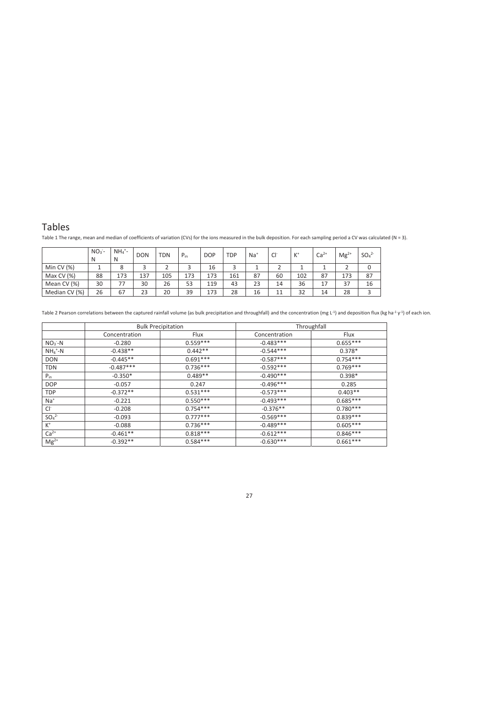## Tables

Table 1 The range, mean and median of coefficients of variation (CVs) for the ions measured in the bulk deposition. For each sampling period a CV was calculated (N = 3).

|               | $NO3$ -<br>N | $NH_4$ <sup>+</sup> -<br>N | <b>DON</b> | <b>TDN</b> | $P_{in}$ | <b>DOP</b> | <b>TDP</b> | $Na+$ | Cl <sup>-</sup> | $K^+$ | $Ca2+$ | $Mg^{2+}$ | SO <sub>4</sub> <sup>2</sup> |
|---------------|--------------|----------------------------|------------|------------|----------|------------|------------|-------|-----------------|-------|--------|-----------|------------------------------|
| Min CV $(%)$  |              | 8                          |            |            |          | 16         |            |       |                 |       |        |           |                              |
| Max CV $(%)$  | 88           | 173                        | 137        | 105        | 173      | 173        | 161        | 87    | 60              | 102   | 87     | 173       | 87                           |
| Mean CV (%)   | 30           | 77                         | 30         | 26         | 53       | 119        | 43         | 23    | 14              | 36    | 17     | 37        | 16                           |
| Median CV (%) | 26           | 67                         | 23         | 20         | 39       | 173        | 28         | 16    | 11              | 32    | 14     | 28        | 3                            |

Table 2 Pearson correlations between the captured rainfall volume (as bulk precipitation and throughfall) and the concentration (mg L<sup>-1</sup>) and deposition flux (kg ha<sup>-1</sup> y<sup>-1</sup>) of each ion.

|                              |               | <b>Bulk Precipitation</b> | Throughfall   |            |  |  |  |
|------------------------------|---------------|---------------------------|---------------|------------|--|--|--|
|                              | Concentration | Flux                      | Concentration | Flux       |  |  |  |
| $NO3 - N$                    | $-0.280$      | $0.559***$                | $-0.483***$   | $0.655***$ |  |  |  |
| $NH_4$ <sup>+</sup> -N       | $-0.438**$    | $0.442**$                 | $-0.544***$   | $0.378*$   |  |  |  |
| <b>DON</b>                   | $-0.445**$    | $0.691***$                | $-0.587***$   | $0.754***$ |  |  |  |
| <b>TDN</b>                   | $-0.487***$   | $0.736***$                | $-0.592***$   | $0.769***$ |  |  |  |
| $P_{in}$                     | $-0.350*$     | $0.489**$                 | $-0.490***$   | $0.398*$   |  |  |  |
| <b>DOP</b>                   | $-0.057$      | 0.247                     | $-0.496***$   | 0.285      |  |  |  |
| <b>TDP</b>                   | $-0.372**$    | $0.531***$                | $-0.573***$   | $0.403**$  |  |  |  |
| $Na+$                        | $-0.221$      | $0.550***$                | $-0.493***$   | $0.685***$ |  |  |  |
| $Cl^-$                       | $-0.208$      | $0.754***$                | $-0.376**$    | $0.780***$ |  |  |  |
| SO <sub>4</sub> <sup>2</sup> | $-0.093$      | $0.777***$                | $-0.569***$   | $0.839***$ |  |  |  |
| $K^+$                        | $-0.088$      | $0.736***$                | $-0.489***$   | $0.605***$ |  |  |  |
| $Ca2+$                       | $-0.461**$    | $0.818***$                | $-0.612***$   | $0.846***$ |  |  |  |
| $Mg^{2+}$                    | $-0.392**$    | $0.584***$                | $-0.630***$   | $0.661***$ |  |  |  |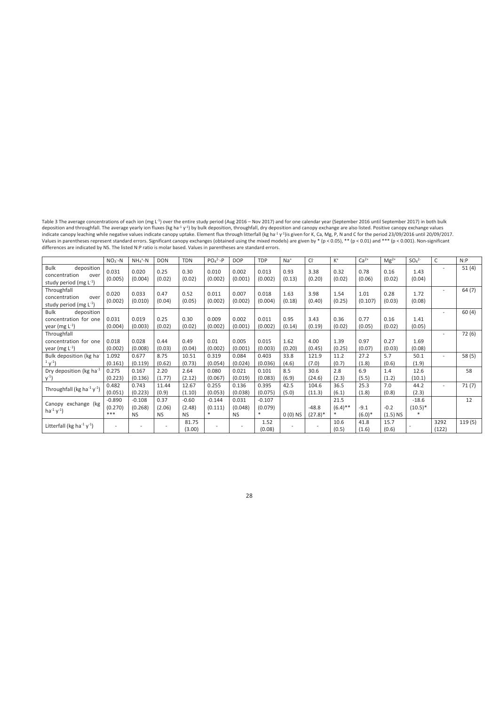Table 3 The average concentrations of each ion (mg L<sup>-1</sup>) over the entire study period (Aug 2016 – Nov 2017) and for one calendar year (September 2016 until September 2017) in both bulk<br>deposition and throughfall. The ave

|                                                                                   | $NO3 - N$                  | $NH_4$ <sup>+</sup> -N           | <b>DON</b>                  | <b>TDN</b>                     | $PO4^{2}-P$                | <b>DOP</b>                    | <b>TDP</b>                 | $Na+$          | Cl <sup>-</sup>                  | $K^+$                     | $Ca2+$             | $Mg^{2+}$            | $SO4^{2-}$                      | C                        | N: P   |
|-----------------------------------------------------------------------------------|----------------------------|----------------------------------|-----------------------------|--------------------------------|----------------------------|-------------------------------|----------------------------|----------------|----------------------------------|---------------------------|--------------------|----------------------|---------------------------------|--------------------------|--------|
| <b>Bulk</b><br>deposition<br>concentration<br>over<br>study period (mg $L^{-1}$ ) | 0.031<br>(0.005)           | 0.020<br>(0.004)                 | 0.25<br>(0.02)              | 0.30<br>(0.02)                 | 0.010<br>(0.002)           | 0.002<br>(0.001)              | 0.013<br>(0.002)           | 0.93<br>(0.13) | 3.38<br>(0.20)                   | 0.32<br>(0.02)            | 0.78<br>(0.06)     | 0.16<br>(0.02)       | 1.43<br>(0.04)                  |                          | 51(4)  |
| Throughfall<br>concentration<br>over<br>study period (mg $L^{-1}$ )               | 0.020<br>(0.002)           | 0.033<br>(0.010)                 | 0.47<br>(0.04)              | 0.52<br>(0.05)                 | 0.011<br>(0.002)           | 0.007<br>(0.002)              | 0.018<br>(0.004)           | 1.63<br>(0.18) | 3.98<br>(0.40)                   | 1.54<br>(0.25)            | 1.01<br>(0.107)    | 0.28<br>(0.03)       | 1.72<br>(0.08)                  | $\overline{\phantom{0}}$ | 64(7)  |
| <b>Bulk</b><br>deposition<br>concentration for one<br>year (mg $L^{-1}$ )         | 0.031<br>(0.004)           | 0.019<br>(0.003)                 | 0.25<br>(0.02)              | 0.30<br>(0.02)                 | 0.009<br>(0.002)           | 0.002<br>(0.001)              | 0.011<br>(0.002)           | 0.95<br>(0.14) | 3.43<br>(0.19)                   | 0.36<br>(0.02)            | 0.77<br>(0.05)     | 0.16<br>(0.02)       | 1.41<br>(0.05)                  | -                        | 60(4)  |
| Throughfall<br>concentration for one<br>year (mg $L^{-1}$ )                       | 0.018<br>(0.002)           | 0.028<br>(0.008)                 | 0.44<br>(0.03)              | 0.49<br>(0.04)                 | 0.01<br>(0.002)            | 0.005<br>(0.001)              | 0.015<br>(0.003)           | 1.62<br>(0.20) | 4.00<br>(0.45)                   | 1.39<br>(0.25)            | 0.97<br>(0.07)     | 0.27<br>(0.03)       | 1.69<br>(0.08)                  | $\overline{\phantom{0}}$ | 72(6)  |
| Bulk deposition (kg ha-<br>$1 \sqrt{1}$                                           | 1.092<br>(0.161)           | 0.677<br>(0.119)                 | 8.75<br>(0.62)              | 10.51<br>(0.73)                | 0.319<br>(0.054)           | 0.084<br>(0.024)              | 0.403<br>(0.036)           | 33.8<br>(4.6)  | 121.9<br>(7.0)                   | 11.2<br>(0.7)             | 27.2<br>(1.8)      | 5.7<br>(0.6)         | 50.1<br>(1.9)                   | -                        | 58(5)  |
| Dry deposition (kg ha <sup>-1</sup><br>$y^{-1}$                                   | 0.275<br>(0.223)           | 0.167<br>(0.136)                 | 2.20<br>(1.77)              | 2.64<br>(2.12)                 | 0.080<br>(0.067)           | 0.021<br>(0.019)              | 0.101<br>(0.083)           | 8.5<br>(6.9)   | 30.6<br>(24.6)                   | 2.8<br>(2.3)              | 6.9<br>(5.5)       | 1.4<br>(1.2)         | 12.6<br>(10.1)                  |                          | 58     |
| Throughfall (kg ha <sup>-1</sup> $y$ <sup>-1</sup> )                              | 0.482<br>(0.051)           | 0.743<br>(0.223)                 | 11.44<br>(0.9)              | 12.67<br>(1.10)                | 0.255<br>(0.053)           | 0.136<br>(0.038)              | 0.395<br>(0.075)           | 42.5<br>(5.0)  | 104.6<br>(11.3)                  | 36.5<br>(6.1)             | 25.3<br>(1.8)      | 7.0<br>(0.8)         | 44.2<br>(2.3)                   | $\overline{\phantom{a}}$ | 71(7)  |
| Canopy exchange (kg<br>$ha^{-1}y^{-1}$ )                                          | $-0.890$<br>(0.270)<br>*** | $-0.108$<br>(0.268)<br><b>NS</b> | 0.37<br>(2.06)<br><b>NS</b> | $-0.60$<br>(2.48)<br><b>NS</b> | $-0.144$<br>(0.111)<br>$*$ | 0.031<br>(0.048)<br><b>NS</b> | $-0.107$<br>(0.079)<br>$*$ | $0(0)$ NS      | $-48.8$<br>$(27.8)$ <sup>*</sup> | 21.5<br>$(6.4)$ **<br>$*$ | $-9.1$<br>$(6.0)*$ | $-0.2$<br>$(1.5)$ NS | $-18.6$<br>$(10.5)^*$<br>$\ast$ |                          | 12     |
| Litterfall (kg ha <sup>-1</sup> $v$ <sup>-1</sup> )                               | $\overline{\phantom{a}}$   |                                  |                             | 81.75<br>(3.00)                |                            | $\overline{\phantom{a}}$      | 1.52<br>(0.08)             |                |                                  | 10.6<br>(0.5)             | 41.8<br>(1.6)      | 15.7<br>(0.6)        |                                 | 3292<br>(122)            | 119(5) |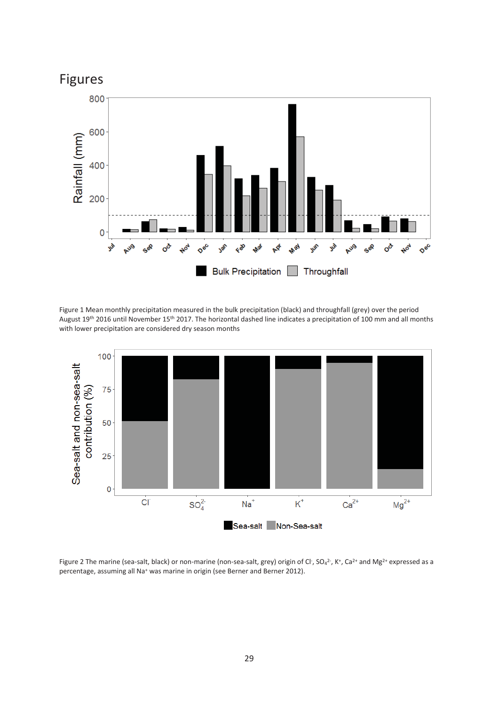

Figure 1 Mean monthly precipitation measured in the bulk precipitation (black) and throughfall (grey) over the period August 19<sup>th</sup> 2016 until November 15<sup>th</sup> 2017. The horizontal dashed line indicates a precipitation of 100 mm and all months with lower precipitation are considered dry season months



Figure 2 The marine (sea-salt, black) or non-marine (non-sea-salt, grey) origin of Cl<sup>-</sup>, SO<sub>4</sub><sup>2-</sup>, K<sup>+</sup>, Ca<sup>2+</sup> and Mg<sup>2+</sup> expressed as a percentage, assuming all Na<sup>+</sup> was marine in origin (see Berner and Berner 2012).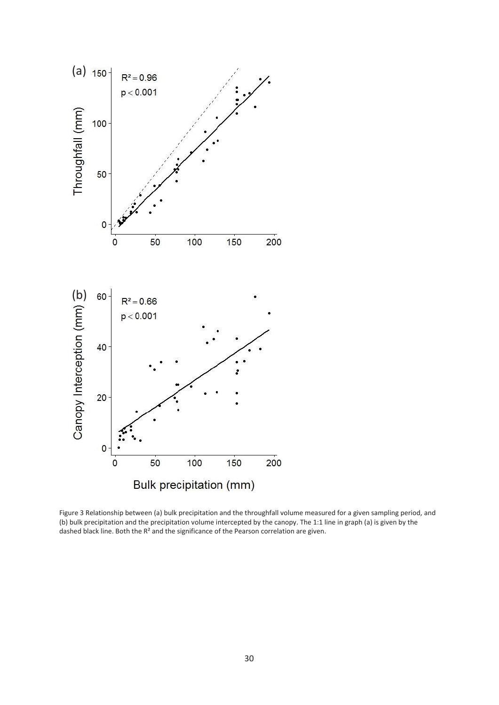

Figure 3 Relationship between (a) bulk precipitation and the throughfall volume measured for a given sampling period, and (b) bulk precipitation and the precipitation volume intercepted by the canopy. The 1:1 line in graph (a) is given by the dashed black line. Both the R² and the significance of the Pearson correlation are given.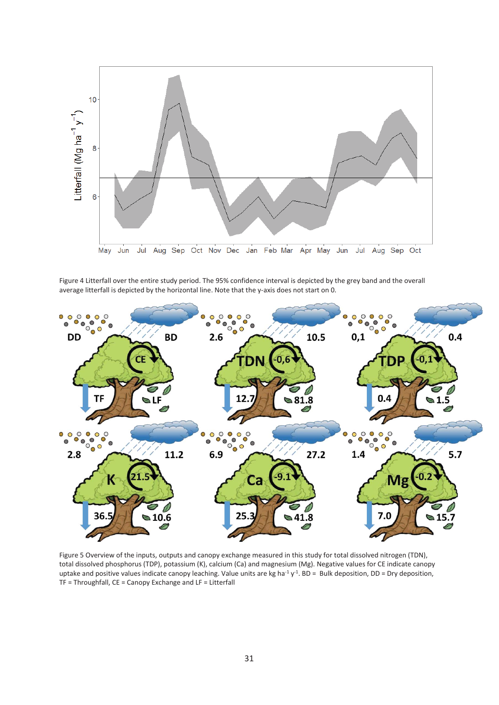

Figure 4 Litterfall over the entire study period. The 95% confidence interval is depicted by the grey band and the overall average litterfall is depicted by the horizontal line. Note that the y-axis does not start on 0.



Figure 5 Overview of the inputs, outputs and canopy exchange measured in this study for total dissolved nitrogen (TDN), total dissolved phosphorus (TDP), potassium (K), calcium (Ca) and magnesium (Mg). Negative values for CE indicate canopy uptake and positive values indicate canopy leaching. Value units are kg ha<sup>-1</sup> y<sup>-1</sup>. BD = Bulk deposition, DD = Dry deposition, TF = Throughfall, CE = Canopy Exchange and LF = Litterfall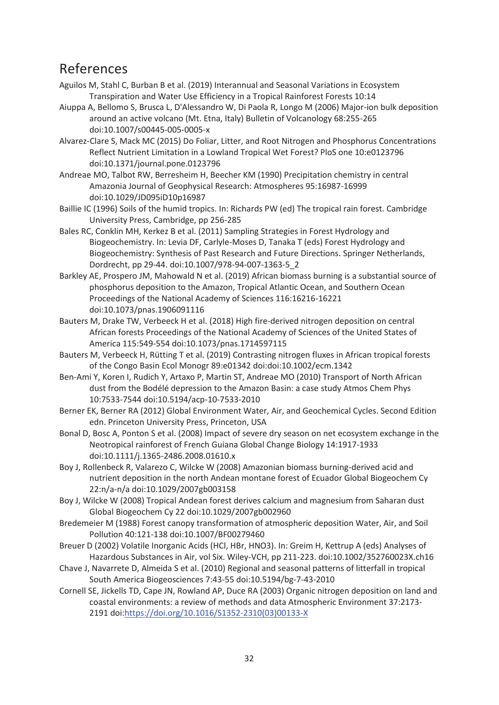# References

- Aguilos M, Stahl C, Burban B et al. (2019) Interannual and Seasonal Variations in Ecosystem Transpiration and Water Use Efficiency in a Tropical Rainforest Forests 10:14
- Aiuppa A, Bellomo S, Brusca L, D'Alessandro W, Di Paola R, Longo M (2006) Major-ion bulk deposition around an active volcano (Mt. Etna, Italy) Bulletin of Volcanology 68:255-265 doi:10.1007/s00445-005-0005-x
- Alvarez-Clare S, Mack MC (2015) Do Foliar, Litter, and Root Nitrogen and Phosphorus Concentrations Reflect Nutrient Limitation in a Lowland Tropical Wet Forest? PloS one 10:e0123796 doi:10.1371/journal.pone.0123796
- Andreae MO, Talbot RW, Berresheim H, Beecher KM (1990) Precipitation chemistry in central Amazonia Journal of Geophysical Research: Atmospheres 95:16987-16999 doi:10.1029/JD095iD10p16987
- Baillie IC (1996) Soils of the humid tropics. In: Richards PW (ed) The tropical rain forest. Cambridge University Press, Cambridge, pp 256-285
- Bales RC, Conklin MH, Kerkez B et al. (2011) Sampling Strategies in Forest Hydrology and Biogeochemistry. In: Levia DF, Carlyle-Moses D, Tanaka T (eds) Forest Hydrology and Biogeochemistry: Synthesis of Past Research and Future Directions. Springer Netherlands, Dordrecht, pp 29-44. doi:10.1007/978-94-007-1363-5\_2
- Barkley AE, Prospero JM, Mahowald N et al. (2019) African biomass burning is a substantial source of phosphorus deposition to the Amazon, Tropical Atlantic Ocean, and Southern Ocean Proceedings of the National Academy of Sciences 116:16216-16221 doi:10.1073/pnas.1906091116
- Bauters M, Drake TW, Verbeeck H et al. (2018) High fire-derived nitrogen deposition on central African forests Proceedings of the National Academy of Sciences of the United States of America 115:549-554 doi:10.1073/pnas.1714597115
- Bauters M, Verbeeck H, Rütting T et al. (2019) Contrasting nitrogen fluxes in African tropical forests of the Congo Basin Ecol Monogr 89:e01342 doi:doi:10.1002/ecm.1342
- Ben-Ami Y, Koren I, Rudich Y, Artaxo P, Martin ST, Andreae MO (2010) Transport of North African dust from the Bodélé depression to the Amazon Basin: a case study Atmos Chem Phys 10:7533-7544 doi:10.5194/acp-10-7533-2010
- Berner EK, Berner RA (2012) Global Environment Water, Air, and Geochemical Cycles. Second Edition edn. Princeton University Press, Princeton, USA
- Bonal D, Bosc A, Ponton S et al. (2008) Impact of severe dry season on net ecosystem exchange in the Neotropical rainforest of French Guiana Global Change Biology 14:1917-1933 doi:10.1111/j.1365-2486.2008.01610.x
- Boy J, Rollenbeck R, Valarezo C, Wilcke W (2008) Amazonian biomass burning-derived acid and nutrient deposition in the north Andean montane forest of Ecuador Global Biogeochem Cy 22:n/a-n/a doi:10.1029/2007gb003158
- Boy J, Wilcke W (2008) Tropical Andean forest derives calcium and magnesium from Saharan dust Global Biogeochem Cy 22 doi:10.1029/2007gb002960
- Bredemeier M (1988) Forest canopy transformation of atmospheric deposition Water, Air, and Soil Pollution 40:121-138 doi:10.1007/BF00279460
- Breuer D (2002) Volatile Inorganic Acids (HCl, HBr, HNO3). In: Greim H, Kettrup A (eds) Analyses of Hazardous Substances in Air, vol Six. Wiley-VCH, pp 211-223. doi:10.1002/352760023X.ch16
- Chave J, Navarrete D, Almeida S et al. (2010) Regional and seasonal patterns of litterfall in tropical South America Biogeosciences 7:43-55 doi:10.5194/bg-7-43-2010
- Cornell SE, Jickells TD, Cape JN, Rowland AP, Duce RA (2003) Organic nitrogen deposition on land and coastal environments: a review of methods and data Atmospheric Environment 37:2173- 2191 doi:https://doi.org/10.1016/S1352-2310(03)00133-X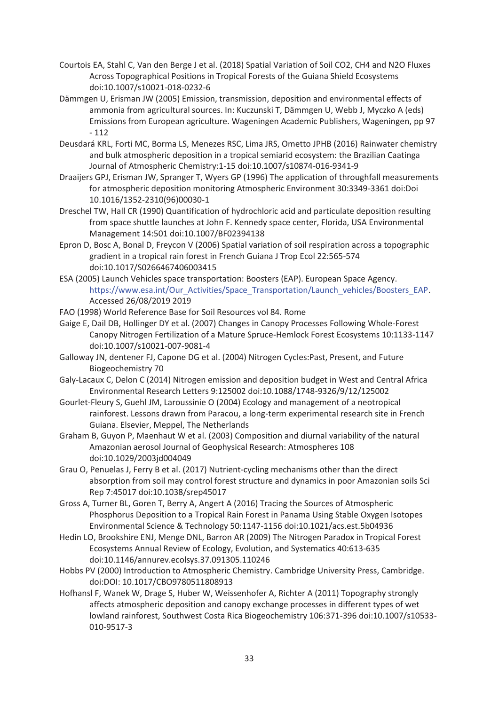- Courtois EA, Stahl C, Van den Berge J et al. (2018) Spatial Variation of Soil CO2, CH4 and N2O Fluxes Across Topographical Positions in Tropical Forests of the Guiana Shield Ecosystems doi:10.1007/s10021-018-0232-6
- Dämmgen U, Erisman JW (2005) Emission, transmission, deposition and environmental effects of ammonia from agricultural sources. In: Kuczunski T, Dämmgen U, Webb J, Myczko A (eds) Emissions from European agriculture. Wageningen Academic Publishers, Wageningen, pp 97 - 112
- Deusdará KRL, Forti MC, Borma LS, Menezes RSC, Lima JRS, Ometto JPHB (2016) Rainwater chemistry and bulk atmospheric deposition in a tropical semiarid ecosystem: the Brazilian Caatinga Journal of Atmospheric Chemistry:1-15 doi:10.1007/s10874-016-9341-9
- Draaijers GPJ, Erisman JW, Spranger T, Wyers GP (1996) The application of throughfall measurements for atmospheric deposition monitoring Atmospheric Environment 30:3349-3361 doi:Doi 10.1016/1352-2310(96)00030-1
- Dreschel TW, Hall CR (1990) Quantification of hydrochloric acid and particulate deposition resulting from space shuttle launches at John F. Kennedy space center, Florida, USA Environmental Management 14:501 doi:10.1007/BF02394138
- Epron D, Bosc A, Bonal D, Freycon V (2006) Spatial variation of soil respiration across a topographic gradient in a tropical rain forest in French Guiana J Trop Ecol 22:565-574 doi:10.1017/S0266467406003415
- ESA (2005) Launch Vehicles space transportation: Boosters (EAP). European Space Agency. https://www.esa.int/Our\_Activities/Space\_Transportation/Launch\_vehicles/Boosters\_EAP. Accessed 26/08/2019 2019
- FAO (1998) World Reference Base for Soil Resources vol 84. Rome
- Gaige E, Dail DB, Hollinger DY et al. (2007) Changes in Canopy Processes Following Whole-Forest Canopy Nitrogen Fertilization of a Mature Spruce-Hemlock Forest Ecosystems 10:1133-1147 doi:10.1007/s10021-007-9081-4
- Galloway JN, dentener FJ, Capone DG et al. (2004) Nitrogen Cycles:Past, Present, and Future Biogeochemistry 70
- Galy-Lacaux C, Delon C (2014) Nitrogen emission and deposition budget in West and Central Africa Environmental Research Letters 9:125002 doi:10.1088/1748-9326/9/12/125002
- Gourlet-Fleury S, Guehl JM, Laroussinie O (2004) Ecology and management of a neotropical rainforest. Lessons drawn from Paracou, a long-term experimental research site in French Guiana. Elsevier, Meppel, The Netherlands
- Graham B, Guyon P, Maenhaut W et al. (2003) Composition and diurnal variability of the natural Amazonian aerosol Journal of Geophysical Research: Atmospheres 108 doi:10.1029/2003jd004049
- Grau O, Penuelas J, Ferry B et al. (2017) Nutrient-cycling mechanisms other than the direct absorption from soil may control forest structure and dynamics in poor Amazonian soils Sci Rep 7:45017 doi:10.1038/srep45017
- Gross A, Turner BL, Goren T, Berry A, Angert A (2016) Tracing the Sources of Atmospheric Phosphorus Deposition to a Tropical Rain Forest in Panama Using Stable Oxygen Isotopes Environmental Science & Technology 50:1147-1156 doi:10.1021/acs.est.5b04936
- Hedin LO, Brookshire ENJ, Menge DNL, Barron AR (2009) The Nitrogen Paradox in Tropical Forest Ecosystems Annual Review of Ecology, Evolution, and Systematics 40:613-635 doi:10.1146/annurev.ecolsys.37.091305.110246
- Hobbs PV (2000) Introduction to Atmospheric Chemistry. Cambridge University Press, Cambridge. doi:DOI: 10.1017/CBO9780511808913
- Hofhansl F, Wanek W, Drage S, Huber W, Weissenhofer A, Richter A (2011) Topography strongly affects atmospheric deposition and canopy exchange processes in different types of wet lowland rainforest, Southwest Costa Rica Biogeochemistry 106:371-396 doi:10.1007/s10533- 010-9517-3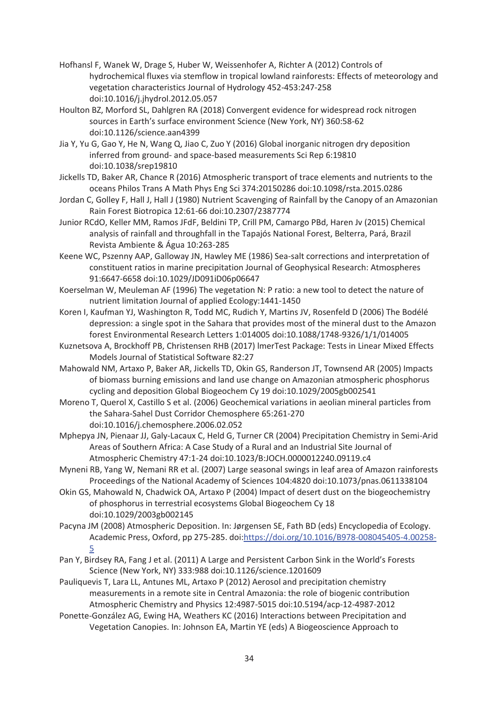- Hofhansl F, Wanek W, Drage S, Huber W, Weissenhofer A, Richter A (2012) Controls of hydrochemical fluxes via stemflow in tropical lowland rainforests: Effects of meteorology and vegetation characteristics Journal of Hydrology 452-453:247-258 doi:10.1016/j.jhydrol.2012.05.057
- Houlton BZ, Morford SL, Dahlgren RA (2018) Convergent evidence for widespread rock nitrogen sources in Earth's surface environment Science (New York, NY) 360:58-62 doi:10.1126/science.aan4399
- Jia Y, Yu G, Gao Y, He N, Wang Q, Jiao C, Zuo Y (2016) Global inorganic nitrogen dry deposition inferred from ground- and space-based measurements Sci Rep 6:19810 doi:10.1038/srep19810
- Jickells TD, Baker AR, Chance R (2016) Atmospheric transport of trace elements and nutrients to the oceans Philos Trans A Math Phys Eng Sci 374:20150286 doi:10.1098/rsta.2015.0286
- Jordan C, Golley F, Hall J, Hall J (1980) Nutrient Scavenging of Rainfall by the Canopy of an Amazonian Rain Forest Biotropica 12:61-66 doi:10.2307/2387774
- Junior RCdO, Keller MM, Ramos JFdF, Beldini TP, Crill PM, Camargo PBd, Haren Jv (2015) Chemical analysis of rainfall and throughfall in the Tapajós National Forest, Belterra, Pará, Brazil Revista Ambiente & Água 10:263-285
- Keene WC, Pszenny AAP, Galloway JN, Hawley ME (1986) Sea-salt corrections and interpretation of constituent ratios in marine precipitation Journal of Geophysical Research: Atmospheres 91:6647-6658 doi:10.1029/JD091iD06p06647
- Koerselman W, Meuleman AF (1996) The vegetation N: P ratio: a new tool to detect the nature of nutrient limitation Journal of applied Ecology:1441-1450
- Koren I, Kaufman YJ, Washington R, Todd MC, Rudich Y, Martins JV, Rosenfeld D (2006) The Bodélé depression: a single spot in the Sahara that provides most of the mineral dust to the Amazon forest Environmental Research Letters 1:014005 doi:10.1088/1748-9326/1/1/014005
- Kuznetsova A, Brockhoff PB, Christensen RHB (2017) lmerTest Package: Tests in Linear Mixed Effects Models Journal of Statistical Software 82:27
- Mahowald NM, Artaxo P, Baker AR, Jickells TD, Okin GS, Randerson JT, Townsend AR (2005) Impacts of biomass burning emissions and land use change on Amazonian atmospheric phosphorus cycling and deposition Global Biogeochem Cy 19 doi:10.1029/2005gb002541
- Moreno T, Querol X, Castillo S et al. (2006) Geochemical variations in aeolian mineral particles from the Sahara-Sahel Dust Corridor Chemosphere 65:261-270 doi:10.1016/j.chemosphere.2006.02.052
- Mphepya JN, Pienaar JJ, Galy-Lacaux C, Held G, Turner CR (2004) Precipitation Chemistry in Semi-Arid Areas of Southern Africa: A Case Study of a Rural and an Industrial Site Journal of Atmospheric Chemistry 47:1-24 doi:10.1023/B:JOCH.0000012240.09119.c4
- Myneni RB, Yang W, Nemani RR et al. (2007) Large seasonal swings in leaf area of Amazon rainforests Proceedings of the National Academy of Sciences 104:4820 doi:10.1073/pnas.0611338104
- Okin GS, Mahowald N, Chadwick OA, Artaxo P (2004) Impact of desert dust on the biogeochemistry of phosphorus in terrestrial ecosystems Global Biogeochem Cy 18 doi:10.1029/2003gb002145
- Pacyna JM (2008) Atmospheric Deposition. In: Jørgensen SE, Fath BD (eds) Encyclopedia of Ecology. Academic Press, Oxford, pp 275-285. doi:https://doi.org/10.1016/B978-008045405-4.00258- 5
- Pan Y, Birdsey RA, Fang J et al. (2011) A Large and Persistent Carbon Sink in the World's Forests Science (New York, NY) 333:988 doi:10.1126/science.1201609
- Pauliquevis T, Lara LL, Antunes ML, Artaxo P (2012) Aerosol and precipitation chemistry measurements in a remote site in Central Amazonia: the role of biogenic contribution Atmospheric Chemistry and Physics 12:4987-5015 doi:10.5194/acp-12-4987-2012
- Ponette-González AG, Ewing HA, Weathers KC (2016) Interactions between Precipitation and Vegetation Canopies. In: Johnson EA, Martin YE (eds) A Biogeoscience Approach to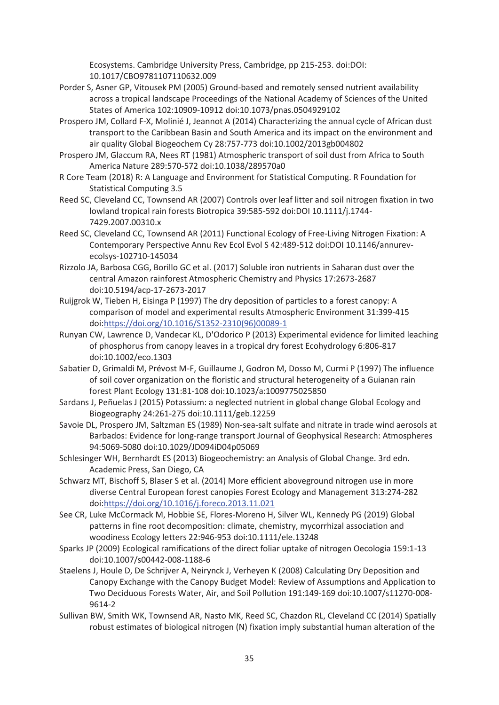Ecosystems. Cambridge University Press, Cambridge, pp 215-253. doi:DOI: 10.1017/CBO9781107110632.009

- Porder S, Asner GP, Vitousek PM (2005) Ground-based and remotely sensed nutrient availability across a tropical landscape Proceedings of the National Academy of Sciences of the United States of America 102:10909-10912 doi:10.1073/pnas.0504929102
- Prospero JM, Collard F-X, Molinié J, Jeannot A (2014) Characterizing the annual cycle of African dust transport to the Caribbean Basin and South America and its impact on the environment and air quality Global Biogeochem Cy 28:757-773 doi:10.1002/2013gb004802
- Prospero JM, Glaccum RA, Nees RT (1981) Atmospheric transport of soil dust from Africa to South America Nature 289:570-572 doi:10.1038/289570a0
- R Core Team (2018) R: A Language and Environment for Statistical Computing. R Foundation for Statistical Computing 3.5
- Reed SC, Cleveland CC, Townsend AR (2007) Controls over leaf litter and soil nitrogen fixation in two lowland tropical rain forests Biotropica 39:585-592 doi:DOI 10.1111/j.1744- 7429.2007.00310.x
- Reed SC, Cleveland CC, Townsend AR (2011) Functional Ecology of Free-Living Nitrogen Fixation: A Contemporary Perspective Annu Rev Ecol Evol S 42:489-512 doi:DOI 10.1146/annurevecolsys-102710-145034
- Rizzolo JA, Barbosa CGG, Borillo GC et al. (2017) Soluble iron nutrients in Saharan dust over the central Amazon rainforest Atmospheric Chemistry and Physics 17:2673-2687 doi:10.5194/acp-17-2673-2017
- Ruijgrok W, Tieben H, Eisinga P (1997) The dry deposition of particles to a forest canopy: A comparison of model and experimental results Atmospheric Environment 31:399-415 doi:https://doi.org/10.1016/S1352-2310(96)00089-1
- Runyan CW, Lawrence D, Vandecar KL, D'Odorico P (2013) Experimental evidence for limited leaching of phosphorus from canopy leaves in a tropical dry forest Ecohydrology 6:806-817 doi:10.1002/eco.1303
- Sabatier D, Grimaldi M, Prévost M-F, Guillaume J, Godron M, Dosso M, Curmi P (1997) The influence of soil cover organization on the floristic and structural heterogeneity of a Guianan rain forest Plant Ecology 131:81-108 doi:10.1023/a:1009775025850
- Sardans J, Peñuelas J (2015) Potassium: a neglected nutrient in global change Global Ecology and Biogeography 24:261-275 doi:10.1111/geb.12259
- Savoie DL, Prospero JM, Saltzman ES (1989) Non-sea-salt sulfate and nitrate in trade wind aerosols at Barbados: Evidence for long-range transport Journal of Geophysical Research: Atmospheres 94:5069-5080 doi:10.1029/JD094iD04p05069
- Schlesinger WH, Bernhardt ES (2013) Biogeochemistry: an Analysis of Global Change. 3rd edn. Academic Press, San Diego, CA
- Schwarz MT, Bischoff S, Blaser S et al. (2014) More efficient aboveground nitrogen use in more diverse Central European forest canopies Forest Ecology and Management 313:274-282 doi:https://doi.org/10.1016/j.foreco.2013.11.021
- See CR, Luke McCormack M, Hobbie SE, Flores-Moreno H, Silver WL, Kennedy PG (2019) Global patterns in fine root decomposition: climate, chemistry, mycorrhizal association and woodiness Ecology letters 22:946-953 doi:10.1111/ele.13248
- Sparks JP (2009) Ecological ramifications of the direct foliar uptake of nitrogen Oecologia 159:1-13 doi:10.1007/s00442-008-1188-6
- Staelens J, Houle D, De Schrijver A, Neirynck J, Verheyen K (2008) Calculating Dry Deposition and Canopy Exchange with the Canopy Budget Model: Review of Assumptions and Application to Two Deciduous Forests Water, Air, and Soil Pollution 191:149-169 doi:10.1007/s11270-008- 9614-2
- Sullivan BW, Smith WK, Townsend AR, Nasto MK, Reed SC, Chazdon RL, Cleveland CC (2014) Spatially robust estimates of biological nitrogen (N) fixation imply substantial human alteration of the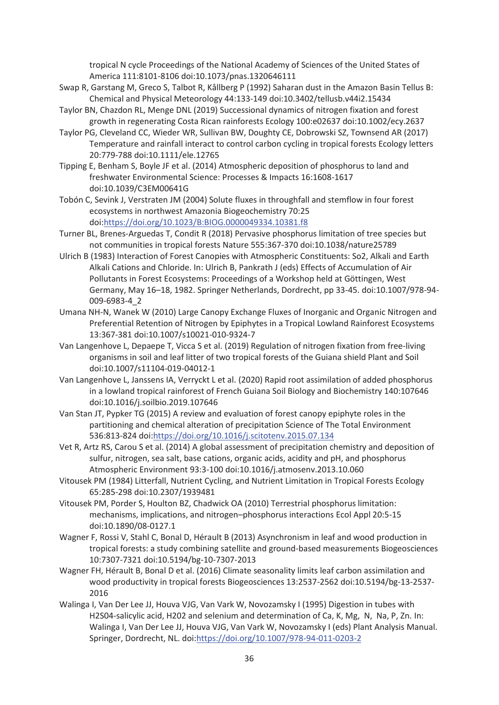tropical N cycle Proceedings of the National Academy of Sciences of the United States of America 111:8101-8106 doi:10.1073/pnas.1320646111

- Swap R, Garstang M, Greco S, Talbot R, Kållberg P (1992) Saharan dust in the Amazon Basin Tellus B: Chemical and Physical Meteorology 44:133-149 doi:10.3402/tellusb.v44i2.15434
- Taylor BN, Chazdon RL, Menge DNL (2019) Successional dynamics of nitrogen fixation and forest growth in regenerating Costa Rican rainforests Ecology 100:e02637 doi:10.1002/ecy.2637
- Taylor PG, Cleveland CC, Wieder WR, Sullivan BW, Doughty CE, Dobrowski SZ, Townsend AR (2017) Temperature and rainfall interact to control carbon cycling in tropical forests Ecology letters 20:779-788 doi:10.1111/ele.12765
- Tipping E, Benham S, Boyle JF et al. (2014) Atmospheric deposition of phosphorus to land and freshwater Environmental Science: Processes & Impacts 16:1608-1617 doi:10.1039/C3EM00641G
- Tobón C, Sevink J, Verstraten JM (2004) Solute fluxes in throughfall and stemflow in four forest ecosystems in northwest Amazonia Biogeochemistry 70:25 doi:https://doi.org/10.1023/B:BIOG.0000049334.10381.f8
- Turner BL, Brenes-Arguedas T, Condit R (2018) Pervasive phosphorus limitation of tree species but not communities in tropical forests Nature 555:367-370 doi:10.1038/nature25789
- Ulrich B (1983) Interaction of Forest Canopies with Atmospheric Constituents: So2, Alkali and Earth Alkali Cations and Chloride. In: Ulrich B, Pankrath J (eds) Effects of Accumulation of Air Pollutants in Forest Ecosystems: Proceedings of a Workshop held at Göttingen, West Germany, May 16–18, 1982. Springer Netherlands, Dordrecht, pp 33-45. doi:10.1007/978-94- 009-6983-4\_2
- Umana NH-N, Wanek W (2010) Large Canopy Exchange Fluxes of Inorganic and Organic Nitrogen and Preferential Retention of Nitrogen by Epiphytes in a Tropical Lowland Rainforest Ecosystems 13:367-381 doi:10.1007/s10021-010-9324-7
- Van Langenhove L, Depaepe T, Vicca S et al. (2019) Regulation of nitrogen fixation from free-living organisms in soil and leaf litter of two tropical forests of the Guiana shield Plant and Soil doi:10.1007/s11104-019-04012-1
- Van Langenhove L, Janssens IA, Verryckt L et al. (2020) Rapid root assimilation of added phosphorus in a lowland tropical rainforest of French Guiana Soil Biology and Biochemistry 140:107646 doi:10.1016/j.soilbio.2019.107646
- Van Stan JT, Pypker TG (2015) A review and evaluation of forest canopy epiphyte roles in the partitioning and chemical alteration of precipitation Science of The Total Environment 536:813-824 doi:https://doi.org/10.1016/j.scitotenv.2015.07.134
- Vet R, Artz RS, Carou S et al. (2014) A global assessment of precipitation chemistry and deposition of sulfur, nitrogen, sea salt, base cations, organic acids, acidity and pH, and phosphorus Atmospheric Environment 93:3-100 doi:10.1016/j.atmosenv.2013.10.060
- Vitousek PM (1984) Litterfall, Nutrient Cycling, and Nutrient Limitation in Tropical Forests Ecology 65:285-298 doi:10.2307/1939481
- Vitousek PM, Porder S, Houlton BZ, Chadwick OA (2010) Terrestrial phosphorus limitation: mechanisms, implications, and nitrogen–phosphorus interactions Ecol Appl 20:5-15 doi:10.1890/08-0127.1
- Wagner F, Rossi V, Stahl C, Bonal D, Hérault B (2013) Asynchronism in leaf and wood production in tropical forests: a study combining satellite and ground-based measurements Biogeosciences 10:7307-7321 doi:10.5194/bg-10-7307-2013
- Wagner FH, Hérault B, Bonal D et al. (2016) Climate seasonality limits leaf carbon assimilation and wood productivity in tropical forests Biogeosciences 13:2537-2562 doi:10.5194/bg-13-2537- 2016
- Walinga I, Van Der Lee JJ, Houva VJG, Van Vark W, Novozamsky I (1995) Digestion in tubes with H2S04-salicylic acid, H202 and selenium and determination of Ca, K, Mg, N, Na, P, Zn. In: Walinga I, Van Der Lee JJ, Houva VJG, Van Vark W, Novozamsky I (eds) Plant Analysis Manual. Springer, Dordrecht, NL. doi:https://doi.org/10.1007/978-94-011-0203-2